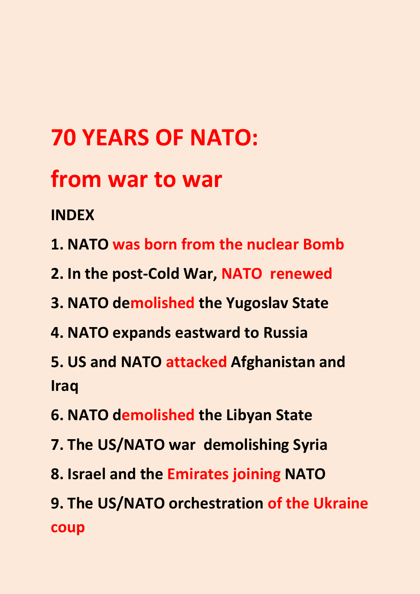# **70 YEARS OF NATO:**

# **from war to war**

## **INDEX**

- **1. NATO was born from the nuclear Bomb**
- **2. In the post-Cold War, NATO renewed**
- **3. NATO demolished the Yugoslav State**
- **4. NATO expands eastward to Russia**
- **5. US and NATO attacked Afghanistan and Iraq**
- **6. NATO demolished the Libyan State**
- **7. The US/NATO war demolishing Syria**
- **8. Israel and the Emirates joining NATO**
- **9. The US/NATO orchestration of the Ukraine coup**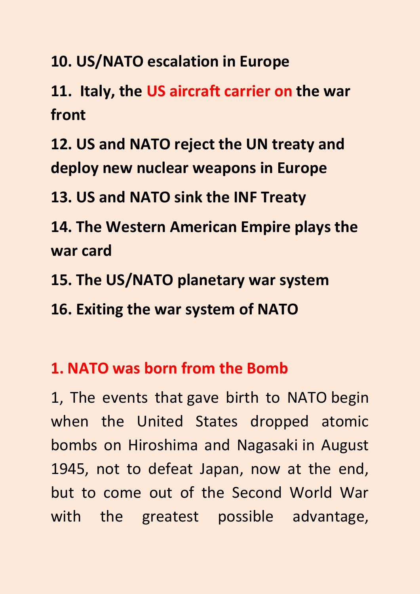**10. US/NATO escalation in Europe**

**11. Italy, the US aircraft carrier on the war front** 

**12. US and NATO reject the UN treaty and deploy new nuclear weapons in Europe**

**13. US and NATO sink the INF Treaty**

**14. The Western American Empire plays the war card**

**15. The US/NATO planetary war system**

**16. Exiting the war system of NATO**

#### **1. NATO was born from the Bomb**

1, The events that gave birth to NATO begin when the United States dropped atomic bombs on Hiroshima and Nagasaki in August 1945, not to defeat Japan, now at the end, but to come out of the Second World War with the greatest possible advantage,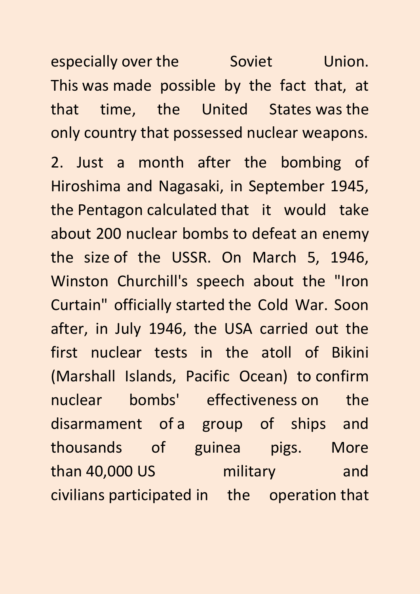especially over the Soviet Union. This was made possible by the fact that, at that time, the United States was the only country that possessed nuclear weapons.

2. Just a month after the bombing of Hiroshima and Nagasaki, in September 1945, the Pentagon calculated that it would take about 200 nuclear bombs to defeat an enemy the size of the USSR. On March 5, 1946, Winston Churchill's speech about the "Iron Curtain" officially started the Cold War. Soon after, in July 1946, the USA carried out the first nuclear tests in the atoll of Bikini (Marshall Islands, Pacific Ocean) to confirm nuclear bombs' effectiveness on the disarmament of a group of ships and thousands of guinea pigs. More than 40,000 US military and civilians participated in the operation that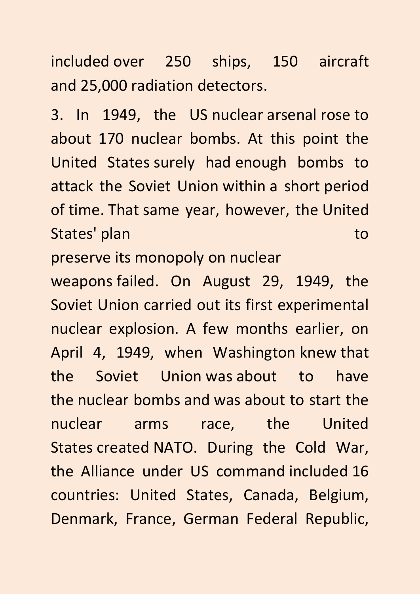included over 250 ships, 150 aircraft and 25,000 radiation detectors.

3. In 1949, the US nuclear arsenal rose to about 170 nuclear bombs. At this point the United States surely had enough bombs to attack the Soviet Union within a short period of time. That same year, however, the United States' plan to the states of the states of the states of the states of the states of the states of the states

preserve its monopoly on nuclear

weapons failed. On August 29, 1949, the Soviet Union carried out its first experimental nuclear explosion. A few months earlier, on April 4, 1949, when Washington knew that the Soviet Union was about to have the nuclear bombs and was about to start the nuclear arms race, the United States created NATO. During the Cold War, the Alliance under US command included 16 countries: United States, Canada, Belgium, Denmark, France, German Federal Republic,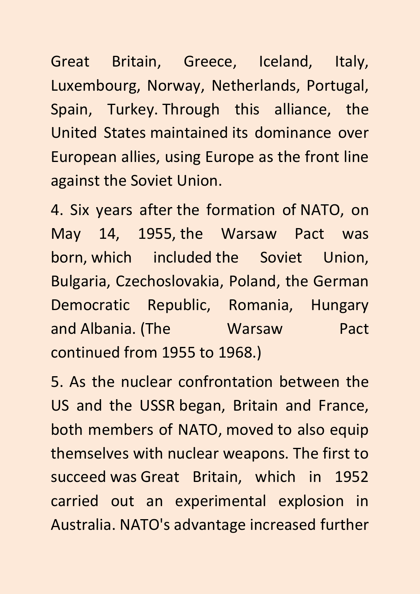Great Britain, Greece, Iceland, Italy, Luxembourg, Norway, Netherlands, Portugal, Spain, Turkey. Through this alliance, the United States maintained its dominance over European allies, using Europe as the front line against the Soviet Union.

4. Six years after the formation of NATO, on May 14, 1955, the Warsaw Pact was born, which included the Soviet Union, Bulgaria, Czechoslovakia, Poland, the German Democratic Republic, Romania, Hungary and Albania. (The Warsaw Pact continued from 1955 to 1968.)

5. As the nuclear confrontation between the US and the USSR began, Britain and France, both members of NATO, moved to also equip themselves with nuclear weapons. The first to succeed was Great Britain, which in 1952 carried out an experimental explosion in Australia. NATO's advantage increased further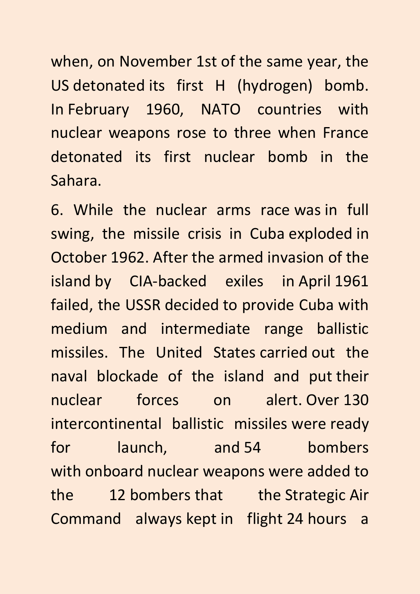when, on November 1st of the same year, the US detonated its first H (hydrogen) bomb. In February 1960, NATO countries with nuclear weapons rose to three when France detonated its first nuclear bomb in the Sahara.

6. While the nuclear arms race was in full swing, the missile crisis in Cuba exploded in October 1962. After the armed invasion of the island by CIA-backed exiles in April 1961 failed, the USSR decided to provide Cuba with medium and intermediate range ballistic missiles. The United States carried out the naval blockade of the island and put their nuclear forces on alert. Over 130 intercontinental ballistic missiles were ready for launch, and 54 bombers with onboard nuclear weapons were added to the 12 bombers that the Strategic Air Command always kept in flight 24 hours a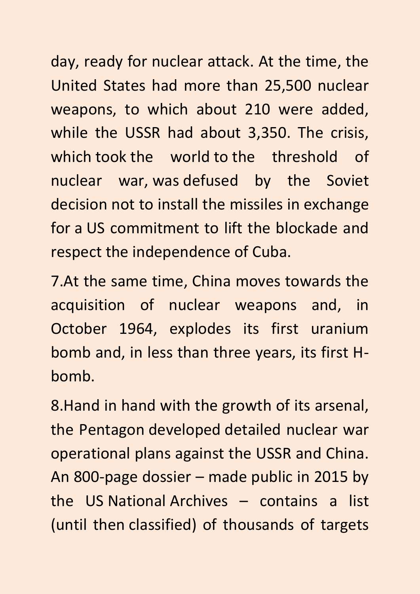day, ready for nuclear attack. At the time, the United States had more than 25,500 nuclear weapons, to which about 210 were added, while the USSR had about 3,350. The crisis, which took the world to the threshold of nuclear war, was defused by the Soviet decision not to install the missiles in exchange for a US commitment to lift the blockade and respect the independence of Cuba.

7.At the same time, China moves towards the acquisition of nuclear weapons and, in October 1964, explodes its first uranium bomb and, in less than three years, its first Hbomb.

8.Hand in hand with the growth of its arsenal, the Pentagon developed detailed nuclear war operational plans against the USSR and China. An 800-page dossier – made public in 2015 by the US National Archives – contains a list (until then classified) of thousands of targets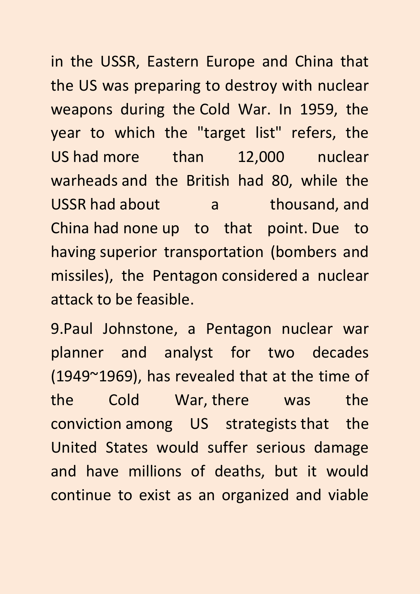in the USSR, Eastern Europe and China that the US was preparing to destroy with nuclear weapons during the Cold War. In 1959, the year to which the "target list" refers, the US had more than 12,000 nuclear warheads and the British had 80, while the USSR had about a thousand, and China had none up to that point. Due to having superior transportation (bombers and missiles), the Pentagon considered a nuclear attack to be feasible.

9.Paul Johnstone, a Pentagon nuclear war planner and analyst for two decades (1949~1969), has revealed that at the time of the Cold War, there was the conviction among US strategists that the United States would suffer serious damage and have millions of deaths, but it would continue to exist as an organized and viable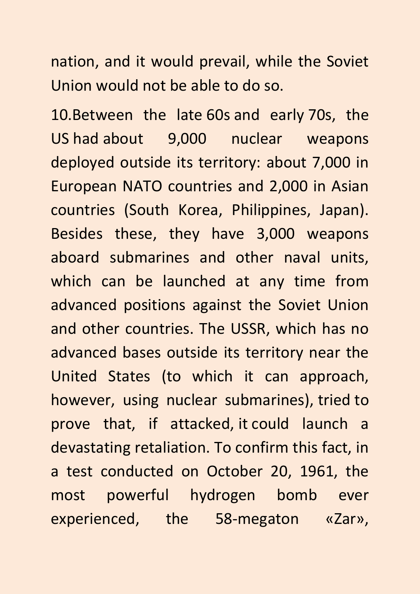nation, and it would prevail, while the Soviet Union would not be able to do so.

10.Between the late 60s and early 70s, the US had about 9,000 nuclear weapons deployed outside its territory: about 7,000 in European NATO countries and 2,000 in Asian countries (South Korea, Philippines, Japan). Besides these, they have 3,000 weapons aboard submarines and other naval units, which can be launched at any time from advanced positions against the Soviet Union and other countries. The USSR, which has no advanced bases outside its territory near the United States (to which it can approach, however, using nuclear submarines), tried to prove that, if attacked, it could launch a devastating retaliation. To confirm this fact, in a test conducted on October 20, 1961, the most powerful hydrogen bomb ever experienced, the 58-megaton «Zar»,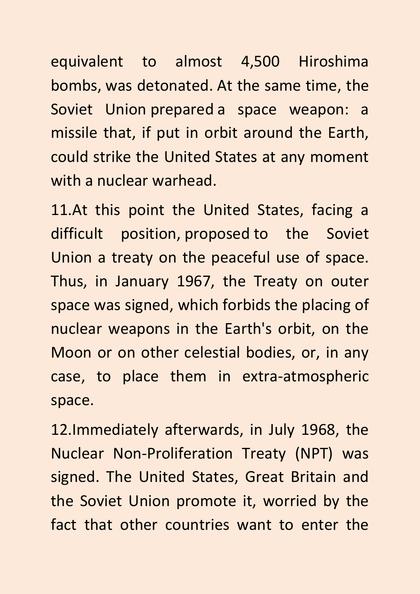equivalent to almost 4,500 Hiroshima bombs, was detonated. At the same time, the Soviet Union prepared a space weapon: a missile that, if put in orbit around the Earth, could strike the United States at any moment with a nuclear warhead.

11.At this point the United States, facing a difficult position, proposed to the Soviet Union a treaty on the peaceful use of space. Thus, in January 1967, the Treaty on outer space was signed, which forbids the placing of nuclear weapons in the Earth's orbit, on the Moon or on other celestial bodies, or, in any case, to place them in extra-atmospheric space.

12.Immediately afterwards, in July 1968, the Nuclear Non-Proliferation Treaty (NPT) was signed. The United States, Great Britain and the Soviet Union promote it, worried by the fact that other countries want to enter the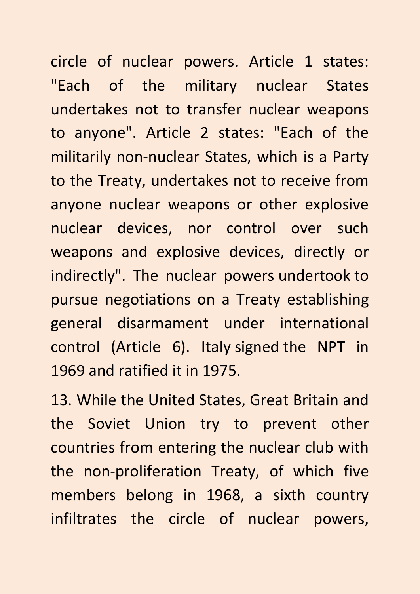circle of nuclear powers. Article 1 states: "Each of the military nuclear States undertakes not to transfer nuclear weapons to anyone". Article 2 states: "Each of the militarily non-nuclear States, which is a Party to the Treaty, undertakes not to receive from anyone nuclear weapons or other explosive nuclear devices, nor control over such weapons and explosive devices, directly or indirectly". The nuclear powers undertook to pursue negotiations on a Treaty establishing general disarmament under international control (Article 6). Italy signed the NPT in 1969 and ratified it in 1975.

13. While the United States, Great Britain and the Soviet Union try to prevent other countries from entering the nuclear club with the non-proliferation Treaty, of which five members belong in 1968, a sixth country infiltrates the circle of nuclear powers,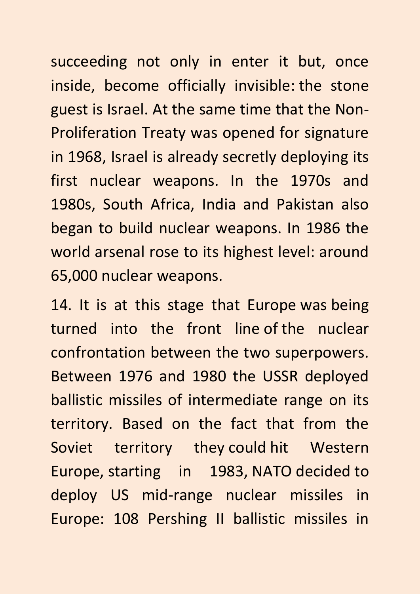succeeding not only in enter it but, once inside, become officially invisible: the stone guest is Israel. At the same time that the Non-Proliferation Treaty was opened for signature in 1968, Israel is already secretly deploying its first nuclear weapons. In the 1970s and 1980s, South Africa, India and Pakistan also began to build nuclear weapons. In 1986 the world arsenal rose to its highest level: around 65,000 nuclear weapons.

14. It is at this stage that Europe was being turned into the front line of the nuclear confrontation between the two superpowers. Between 1976 and 1980 the USSR deployed ballistic missiles of intermediate range on its territory. Based on the fact that from the Soviet territory they could hit Western Europe, starting in 1983, NATO decided to deploy US mid-range nuclear missiles in Europe: 108 Pershing II ballistic missiles in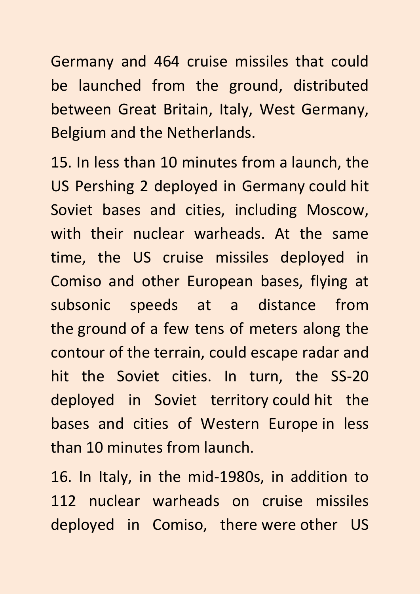Germany and 464 cruise missiles that could be launched from the ground, distributed between Great Britain, Italy, West Germany, Belgium and the Netherlands.

15. In less than 10 minutes from a launch, the US Pershing 2 deployed in Germany could hit Soviet bases and cities, including Moscow, with their nuclear warheads. At the same time, the US cruise missiles deployed in Comiso and other European bases, flying at subsonic speeds at a distance from the ground of a few tens of meters along the contour of the terrain, could escape radar and hit the Soviet cities. In turn, the SS-20 deployed in Soviet territory could hit the bases and cities of Western Europe in less than 10 minutes from launch.

16. In Italy, in the mid-1980s, in addition to 112 nuclear warheads on cruise missiles deployed in Comiso, there were other US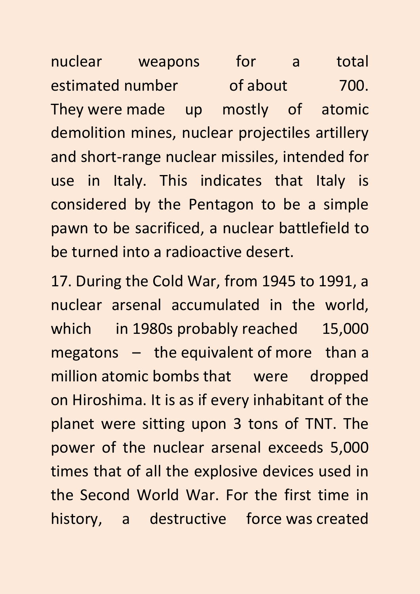nuclear weapons for a total estimated number of about 700. They were made up mostly of atomic demolition mines, nuclear projectiles artillery and short-range nuclear missiles, intended for use in Italy. This indicates that Italy is considered by the Pentagon to be a simple pawn to be sacrificed, a nuclear battlefield to be turned into a radioactive desert.

17. During the Cold War, from 1945 to 1991, a nuclear arsenal accumulated in the world, which in 1980s probably reached 15,000 megatons  $-$  the equivalent of more than a million atomic bombs that were dropped on Hiroshima. It is as if every inhabitant of the planet were sitting upon 3 tons of TNT. The power of the nuclear arsenal exceeds 5,000 times that of all the explosive devices used in the Second World War. For the first time in history, a destructive force was created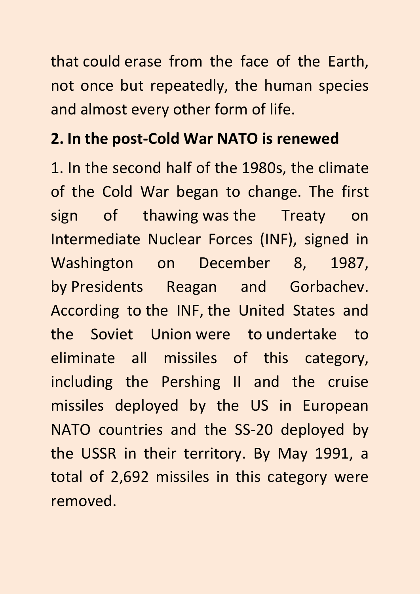that could erase from the face of the Earth, not once but repeatedly, the human species and almost every other form of life.

#### **2. In the post-Cold War NATO is renewed**

1. In the second half of the 1980s, the climate of the Cold War began to change. The first sign of thawing was the Treaty on Intermediate Nuclear Forces (INF), signed in Washington on December 8, 1987, by Presidents Reagan and Gorbachev. According to the INF, the United States and the Soviet Union were to undertake to eliminate all missiles of this category, including the Pershing II and the cruise missiles deployed by the US in European NATO countries and the SS-20 deployed by the USSR in their territory. By May 1991, a total of 2,692 missiles in this category were removed.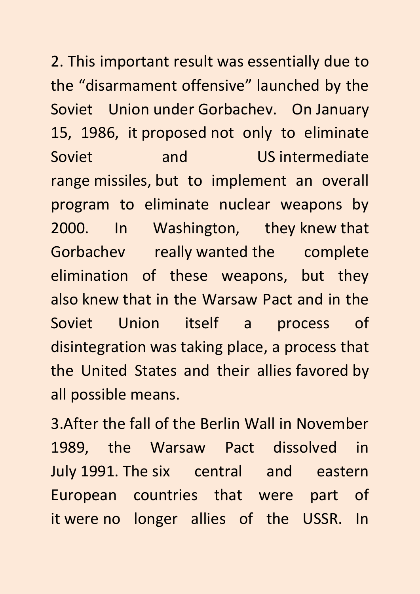2. This important result was essentially due to the "disarmament offensive" launched by the Soviet Union under Gorbachev. On January 15, 1986, it proposed not only to eliminate Soviet and US intermediate range missiles, but to implement an overall program to eliminate nuclear weapons by 2000. In Washington, they knew that Gorbachev really wanted the complete elimination of these weapons, but they also knew that in the Warsaw Pact and in the Soviet Union itself a process of disintegration was taking place, a process that the United States and their allies favored by all possible means.

3.After the fall of the Berlin Wall in November 1989, the Warsaw Pact dissolved in July 1991. The six central and eastern European countries that were part of it were no longer allies of the USSR. In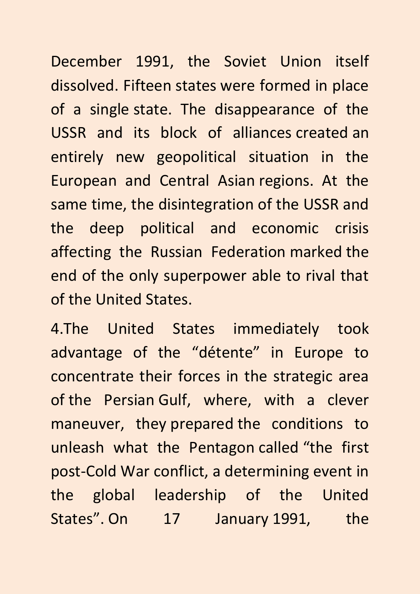December 1991, the Soviet Union itself dissolved. Fifteen states were formed in place of a single state. The disappearance of the USSR and its block of alliances created an entirely new geopolitical situation in the European and Central Asian regions. At the same time, the disintegration of the USSR and the deep political and economic crisis affecting the Russian Federation marked the end of the only superpower able to rival that of the United States.

4.The United States immediately took advantage of the "détente" in Europe to concentrate their forces in the strategic area of the Persian Gulf, where, with a clever maneuver, they prepared the conditions to unleash what the Pentagon called "the first post-Cold War conflict, a determining event in the global leadership of the United States". On 17 January 1991, the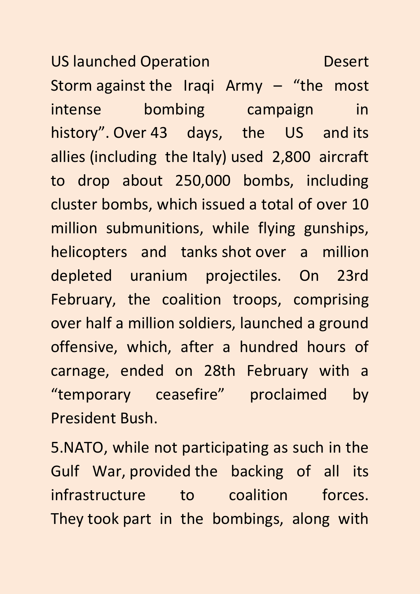US launched Operation **Desert** Storm against the Iraqi Army – "the most intense bombing campaign in history". Over 43 days, the US and its allies (including the Italy) used 2,800 aircraft to drop about 250,000 bombs, including cluster bombs, which issued a total of over 10 million submunitions, while flying gunships, helicopters and tanks shot over a million depleted uranium projectiles. On 23rd February, the coalition troops, comprising over half a million soldiers, launched a ground offensive, which, after a hundred hours of carnage, ended on 28th February with a "temporary ceasefire" proclaimed by President Bush.

5.NATO, while not participating as such in the Gulf War, provided the backing of all its infrastructure to coalition forces. They took part in the bombings, along with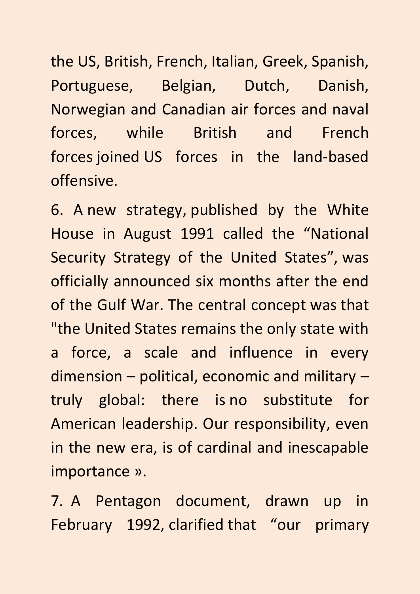the US, British, French, Italian, Greek, Spanish, Portuguese, Belgian, Dutch, Danish, Norwegian and Canadian air forces and naval forces, while British and French forces joined US forces in the land-based offensive.

6. A new strategy, published by the White House in August 1991 called the "National Security Strategy of the United States", was officially announced six months after the end of the Gulf War. The central concept was that "the United States remains the only state with a force, a scale and influence in every dimension – political, economic and military – truly global: there is no substitute for American leadership. Our responsibility, even in the new era, is of cardinal and inescapable importance ».

7. A Pentagon document, drawn up in February 1992, clarified that "our primary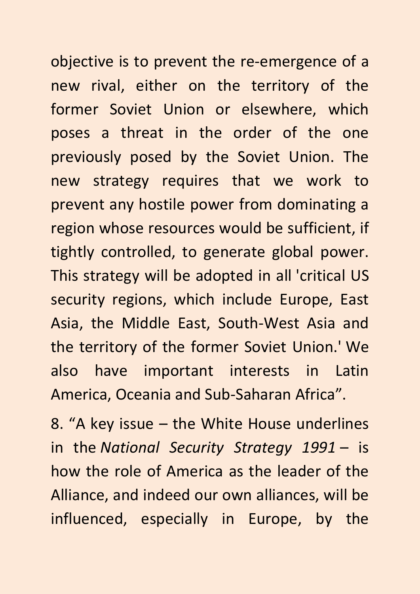objective is to prevent the re-emergence of a new rival, either on the territory of the former Soviet Union or elsewhere, which poses a threat in the order of the one previously posed by the Soviet Union. The new strategy requires that we work to prevent any hostile power from dominating a region whose resources would be sufficient, if tightly controlled, to generate global power. This strategy will be adopted in all 'critical US security regions, which include Europe, East Asia, the Middle East, South-West Asia and the territory of the former Soviet Union.' We also have important interests in Latin America, Oceania and Sub-Saharan Africa".

8. "A key issue – the White House underlines in the *National Security Strategy 1991* – is how the role of America as the leader of the Alliance, and indeed our own alliances, will be influenced, especially in Europe, by the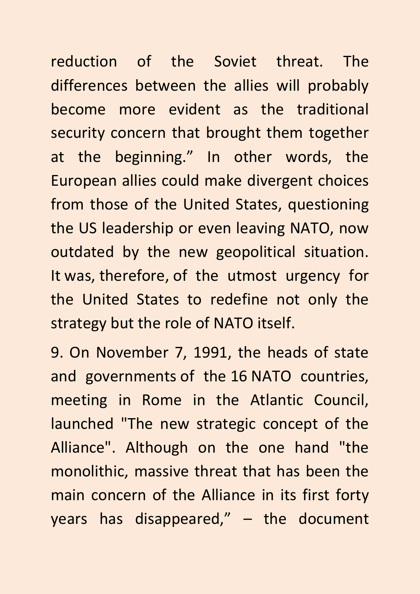reduction of the Soviet threat. The differences between the allies will probably become more evident as the traditional security concern that brought them together at the beginning." In other words, the European allies could make divergent choices from those of the United States, questioning the US leadership or even leaving NATO, now outdated by the new geopolitical situation. It was, therefore, of the utmost urgency for the United States to redefine not only the strategy but the role of NATO itself.

9. On November 7, 1991, the heads of state and governments of the 16 NATO countries, meeting in Rome in the Atlantic Council, launched "The new strategic concept of the Alliance". Although on the one hand "the monolithic, massive threat that has been the main concern of the Alliance in its first forty years has disappeared," – the document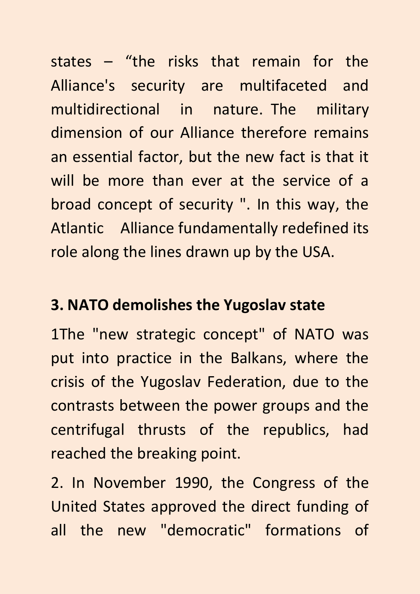states – "the risks that remain for the Alliance's security are multifaceted and multidirectional in nature. The military dimension of our Alliance therefore remains an essential factor, but the new fact is that it will be more than ever at the service of a broad concept of security ". In this way, the Atlantic Alliance fundamentally redefined its role along the lines drawn up by the USA.

#### **3. NATO demolishes the Yugoslav state**

1The "new strategic concept" of NATO was put into practice in the Balkans, where the crisis of the Yugoslav Federation, due to the contrasts between the power groups and the centrifugal thrusts of the republics, had reached the breaking point.

2. In November 1990, the Congress of the United States approved the direct funding of all the new "democratic" formations of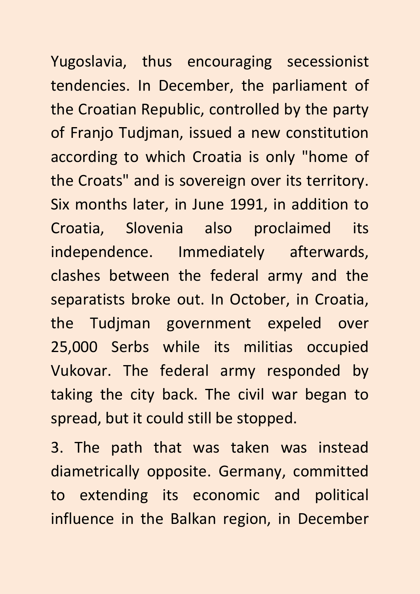Yugoslavia, thus encouraging secessionist tendencies. In December, the parliament of the Croatian Republic, controlled by the party of Franjo Tudjman, issued a new constitution according to which Croatia is only "home of the Croats" and is sovereign over its territory. Six months later, in June 1991, in addition to Croatia, Slovenia also proclaimed its independence. Immediately afterwards, clashes between the federal army and the separatists broke out. In October, in Croatia, the Tudjman government expeled over 25,000 Serbs while its militias occupied Vukovar. The federal army responded by taking the city back. The civil war began to spread, but it could still be stopped.

3. The path that was taken was instead diametrically opposite. Germany, committed to extending its economic and political influence in the Balkan region, in December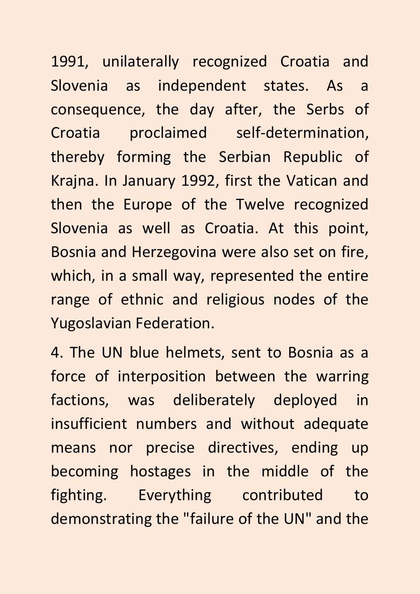1991, unilaterally recognized Croatia and Slovenia as independent states. As a consequence, the day after, the Serbs of Croatia proclaimed self-determination, thereby forming the Serbian Republic of Krajna. In January 1992, first the Vatican and then the Europe of the Twelve recognized Slovenia as well as Croatia. At this point, Bosnia and Herzegovina were also set on fire, which, in a small way, represented the entire range of ethnic and religious nodes of the Yugoslavian Federation.

4. The UN blue helmets, sent to Bosnia as a force of interposition between the warring factions, was deliberately deployed in insufficient numbers and without adequate means nor precise directives, ending up becoming hostages in the middle of the fighting. Everything contributed to demonstrating the "failure of the UN" and the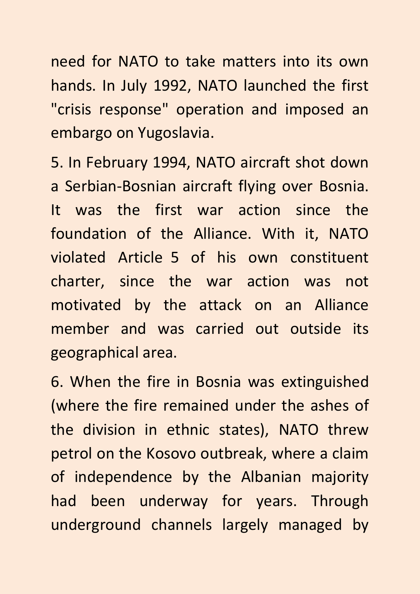need for NATO to take matters into its own hands. In July 1992, NATO launched the first "crisis response" operation and imposed an embargo on Yugoslavia.

5. In February 1994, NATO aircraft shot down a Serbian-Bosnian aircraft flying over Bosnia. It was the first war action since the foundation of the Alliance. With it, NATO violated Article 5 of his own constituent charter, since the war action was not motivated by the attack on an Alliance member and was carried out outside its geographical area.

6. When the fire in Bosnia was extinguished (where the fire remained under the ashes of the division in ethnic states), NATO threw petrol on the Kosovo outbreak, where a claim of independence by the Albanian majority had been underway for years. Through underground channels largely managed by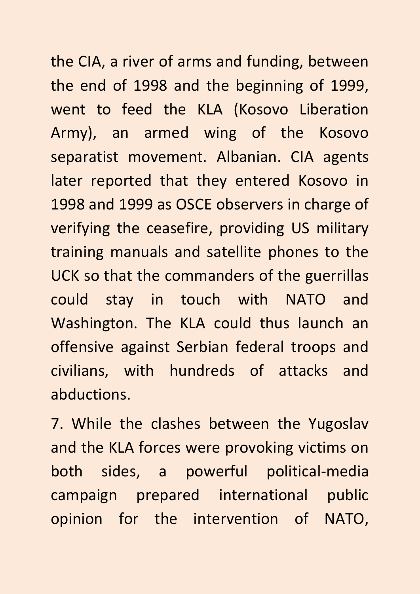the CIA, a river of arms and funding, between the end of 1998 and the beginning of 1999, went to feed the KLA (Kosovo Liberation Army), an armed wing of the Kosovo separatist movement. Albanian. CIA agents later reported that they entered Kosovo in 1998 and 1999 as OSCE observers in charge of verifying the ceasefire, providing US military training manuals and satellite phones to the UCK so that the commanders of the guerrillas could stay in touch with NATO and Washington. The KLA could thus launch an offensive against Serbian federal troops and civilians, with hundreds of attacks and abductions.

7. While the clashes between the Yugoslav and the KLA forces were provoking victims on both sides, a powerful political-media campaign prepared international public opinion for the intervention of NATO,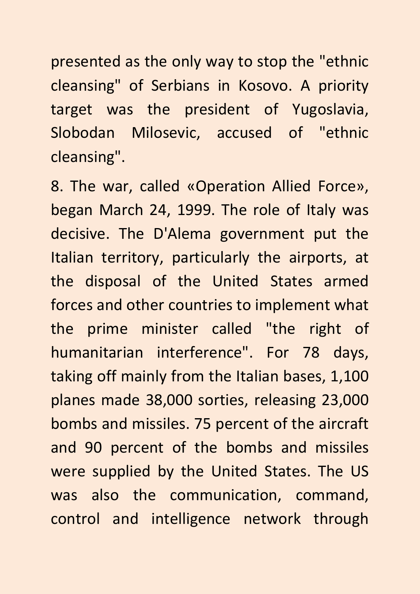presented as the only way to stop the "ethnic cleansing" of Serbians in Kosovo. A priority target was the president of Yugoslavia, Slobodan Milosevic, accused of "ethnic cleansing".

8. The war, called «Operation Allied Force», began March 24, 1999. The role of Italy was decisive. The D'Alema government put the Italian territory, particularly the airports, at the disposal of the United States armed forces and other countries to implement what the prime minister called "the right of humanitarian interference". For 78 days, taking off mainly from the Italian bases, 1,100 planes made 38,000 sorties, releasing 23,000 bombs and missiles. 75 percent of the aircraft and 90 percent of the bombs and missiles were supplied by the United States. The US was also the communication, command, control and intelligence network through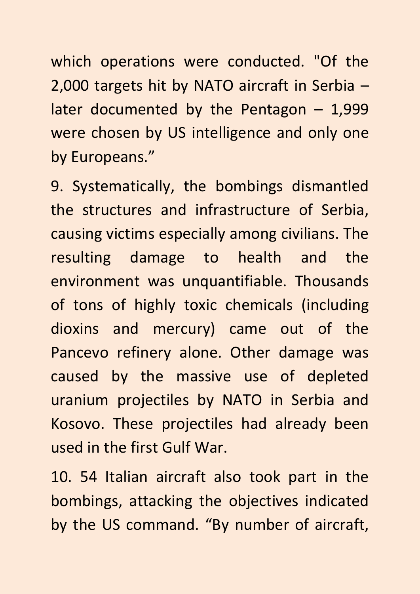which operations were conducted. "Of the 2,000 targets hit by NATO aircraft in Serbia – later documented by the Pentagon  $-1,999$ were chosen by US intelligence and only one by Europeans."

9. Systematically, the bombings dismantled the structures and infrastructure of Serbia, causing victims especially among civilians. The resulting damage to health and the environment was unquantifiable. Thousands of tons of highly toxic chemicals (including dioxins and mercury) came out of the Pancevo refinery alone. Other damage was caused by the massive use of depleted uranium projectiles by NATO in Serbia and Kosovo. These projectiles had already been used in the first Gulf War.

10. 54 Italian aircraft also took part in the bombings, attacking the objectives indicated by the US command. "By number of aircraft,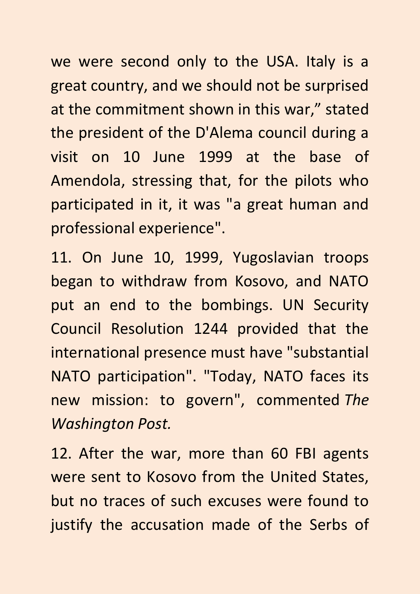we were second only to the USA. Italy is a great country, and we should not be surprised at the commitment shown in this war," stated the president of the D'Alema council during a visit on 10 June 1999 at the base of Amendola, stressing that, for the pilots who participated in it, it was "a great human and professional experience".

11. On June 10, 1999, Yugoslavian troops began to withdraw from Kosovo, and NATO put an end to the bombings. UN Security Council Resolution 1244 provided that the international presence must have "substantial NATO participation". "Today, NATO faces its new mission: to govern", commented *The Washington Post.*

12. After the war, more than 60 FBI agents were sent to Kosovo from the United States, but no traces of such excuses were found to justify the accusation made of the Serbs of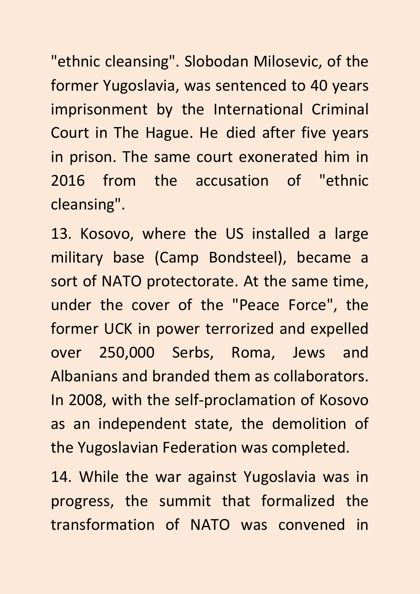"ethnic cleansing". Slobodan Milosevic, of the former Yugoslavia, was sentenced to 40 years imprisonment by the International Criminal Court in The Hague. He died after five years in prison. The same court exonerated him in 2016 from the accusation of "ethnic cleansing".

13. Kosovo, where the US installed a large military base (Camp Bondsteel), became a sort of NATO protectorate. At the same time, under the cover of the "Peace Force", the former UCK in power terrorized and expelled over 250,000 Serbs, Roma, Jews and Albanians and branded them as collaborators. In 2008, with the self-proclamation of Kosovo as an independent state, the demolition of the Yugoslavian Federation was completed.

14. While the war against Yugoslavia was in progress, the summit that formalized the transformation of NATO was convened in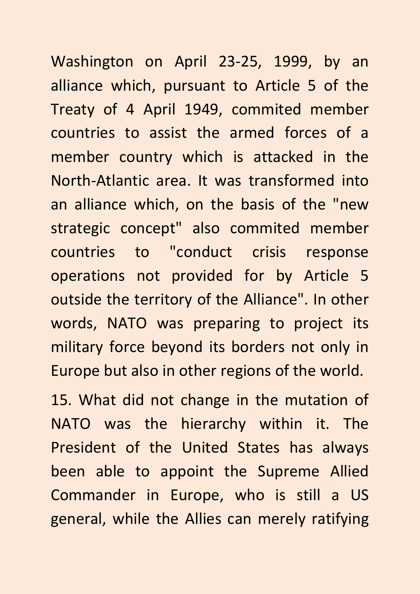Washington on April 23-25, 1999, by an alliance which, pursuant to Article 5 of the Treaty of 4 April 1949, commited member countries to assist the armed forces of a member country which is attacked in the North-Atlantic area. It was transformed into an alliance which, on the basis of the "new strategic concept" also commited member countries to "conduct crisis response operations not provided for by Article 5 outside the territory of the Alliance". In other words, NATO was preparing to project its military force beyond its borders not only in Europe but also in other regions of the world.

15. What did not change in the mutation of NATO was the hierarchy within it. The President of the United States has always been able to appoint the Supreme Allied Commander in Europe, who is still a US general, while the Allies can merely ratifying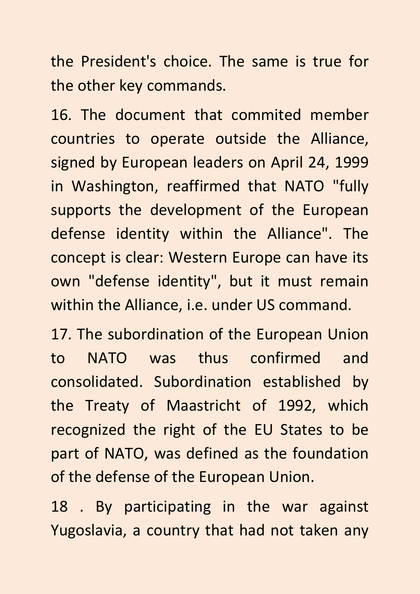the President's choice. The same is true for the other key commands.

16. The document that commited member countries to operate outside the Alliance, signed by European leaders on April 24, 1999 in Washington, reaffirmed that NATO "fully supports the development of the European defense identity within the Alliance". The concept is clear: Western Europe can have its own "defense identity", but it must remain within the Alliance, i.e. under US command.

17. The subordination of the European Union to NATO was thus confirmed and consolidated. Subordination established by the Treaty of Maastricht of 1992, which recognized the right of the EU States to be part of NATO, was defined as the foundation of the defense of the European Union.

18 . By participating in the war against Yugoslavia, a country that had not taken any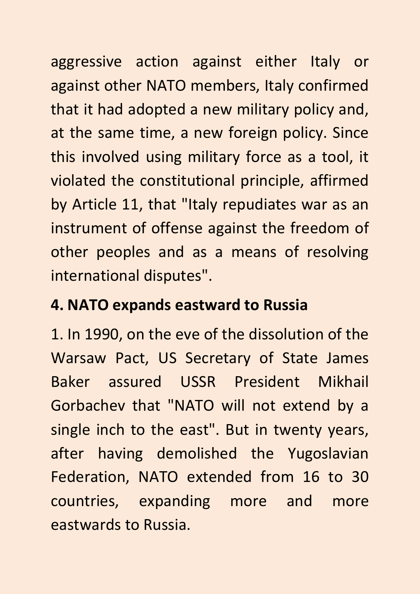aggressive action against either Italy or against other NATO members, Italy confirmed that it had adopted a new military policy and, at the same time, a new foreign policy. Since this involved using military force as a tool, it violated the constitutional principle, affirmed by Article 11, that "Italy repudiates war as an instrument of offense against the freedom of other peoples and as a means of resolving international disputes".

#### **4. NATO expands eastward to Russia**

1. In 1990, on the eve of the dissolution of the Warsaw Pact, US Secretary of State James Baker assured USSR President Mikhail Gorbachev that "NATO will not extend by a single inch to the east". But in twenty years, after having demolished the Yugoslavian Federation, NATO extended from 16 to 30 countries, expanding more and more eastwards to Russia.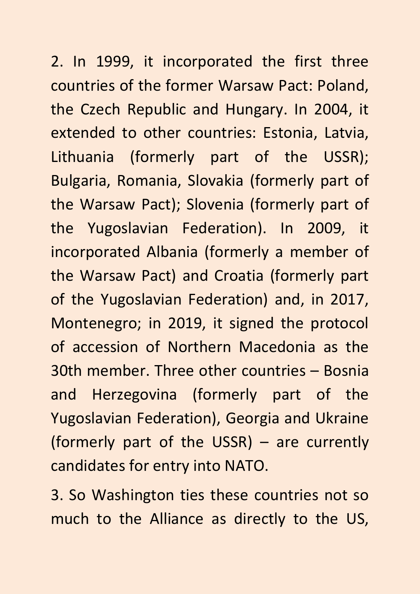2. In 1999, it incorporated the first three countries of the former Warsaw Pact: Poland, the Czech Republic and Hungary. In 2004, it extended to other countries: Estonia, Latvia, Lithuania (formerly part of the USSR); Bulgaria, Romania, Slovakia (formerly part of the Warsaw Pact); Slovenia (formerly part of the Yugoslavian Federation). In 2009, it incorporated Albania (formerly a member of the Warsaw Pact) and Croatia (formerly part of the Yugoslavian Federation) and, in 2017, Montenegro; in 2019, it signed the protocol of accession of Northern Macedonia as the 30th member. Three other countries – Bosnia and Herzegovina (formerly part of the Yugoslavian Federation), Georgia and Ukraine (formerly part of the USSR) – are currently candidates for entry into NATO.

3. So Washington ties these countries not so much to the Alliance as directly to the US,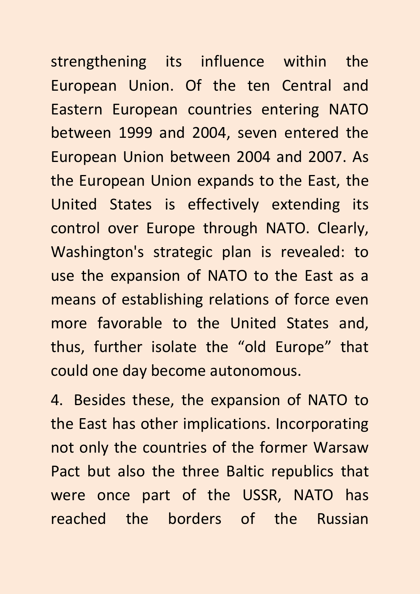strengthening its influence within the European Union. Of the ten Central and Eastern European countries entering NATO between 1999 and 2004, seven entered the European Union between 2004 and 2007. As the European Union expands to the East, the United States is effectively extending its control over Europe through NATO. Clearly, Washington's strategic plan is revealed: to use the expansion of NATO to the East as a means of establishing relations of force even more favorable to the United States and, thus, further isolate the "old Europe" that could one day become autonomous.

4. Besides these, the expansion of NATO to the East has other implications. Incorporating not only the countries of the former Warsaw Pact but also the three Baltic republics that were once part of the USSR, NATO has reached the borders of the Russian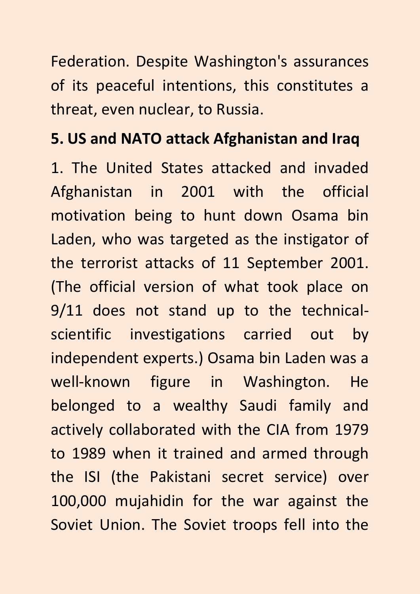Federation. Despite Washington's assurances of its peaceful intentions, this constitutes a threat, even nuclear, to Russia.

## **5. US and NATO attack Afghanistan and Iraq**

1. The United States attacked and invaded Afghanistan in 2001 with the official motivation being to hunt down Osama bin Laden, who was targeted as the instigator of the terrorist attacks of 11 September 2001. (The official version of what took place on 9/11 does not stand up to the technicalscientific investigations carried out by independent experts.) Osama bin Laden was a well-known figure in Washington. He belonged to a wealthy Saudi family and actively collaborated with the CIA from 1979 to 1989 when it trained and armed through the ISI (the Pakistani secret service) over 100,000 mujahidin for the war against the Soviet Union. The Soviet troops fell into the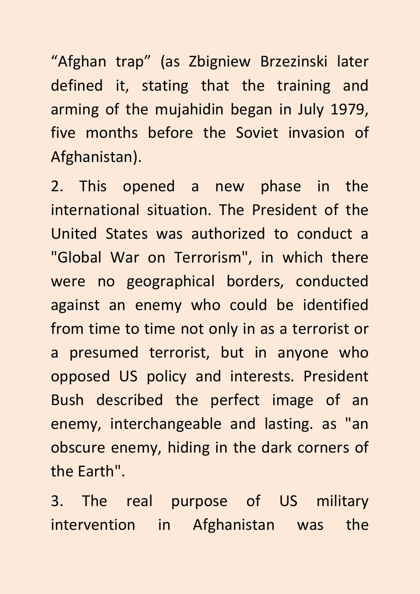"Afghan trap" (as Zbigniew Brzezinski later defined it, stating that the training and arming of the mujahidin began in July 1979, five months before the Soviet invasion of Afghanistan).

2. This opened a new phase in the international situation. The President of the United States was authorized to conduct a "Global War on Terrorism", in which there were no geographical borders, conducted against an enemy who could be identified from time to time not only in as a terrorist or a presumed terrorist, but in anyone who opposed US policy and interests. President Bush described the perfect image of an enemy, interchangeable and lasting. as "an obscure enemy, hiding in the dark corners of the Earth".

3. The real purpose of US military intervention in Afghanistan was the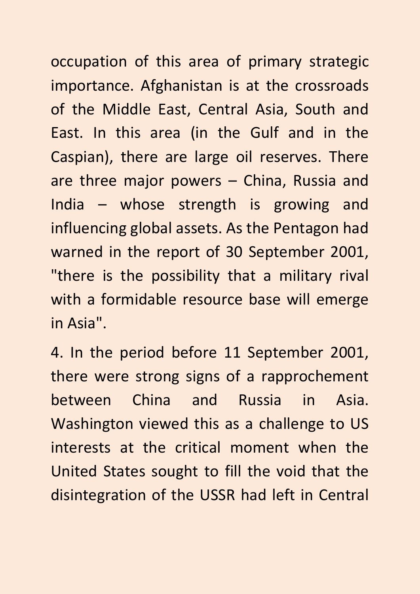occupation of this area of primary strategic importance. Afghanistan is at the crossroads of the Middle East, Central Asia, South and East. In this area (in the Gulf and in the Caspian), there are large oil reserves. There are three major powers – China, Russia and India – whose strength is growing and influencing global assets. As the Pentagon had warned in the report of 30 September 2001, "there is the possibility that a military rival with a formidable resource base will emerge in Asia".

4. In the period before 11 September 2001, there were strong signs of a rapprochement between China and Russia in Asia. Washington viewed this as a challenge to US interests at the critical moment when the United States sought to fill the void that the disintegration of the USSR had left in Central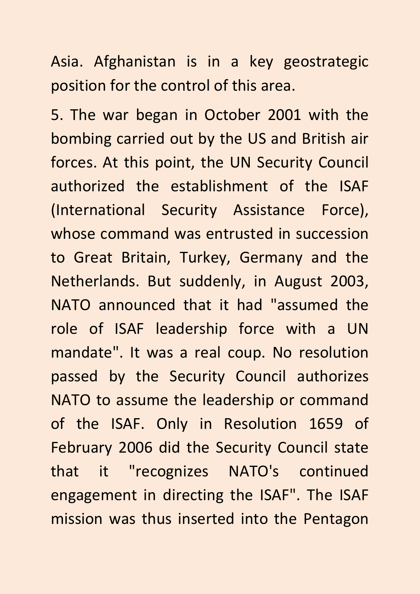Asia. Afghanistan is in a key geostrategic position for the control of this area.

5. The war began in October 2001 with the bombing carried out by the US and British air forces. At this point, the UN Security Council authorized the establishment of the ISAF (International Security Assistance Force), whose command was entrusted in succession to Great Britain, Turkey, Germany and the Netherlands. But suddenly, in August 2003, NATO announced that it had "assumed the role of ISAF leadership force with a UN mandate". It was a real coup. No resolution passed by the Security Council authorizes NATO to assume the leadership or command of the ISAF. Only in Resolution 1659 of February 2006 did the Security Council state that it "recognizes NATO's continued engagement in directing the ISAF". The ISAF mission was thus inserted into the Pentagon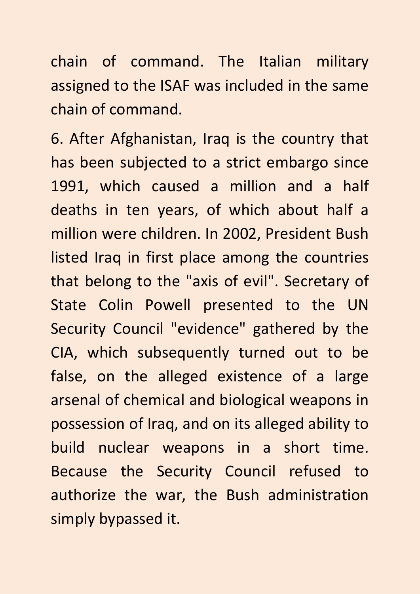chain of command. The Italian military assigned to the ISAF was included in the same chain of command.

6. After Afghanistan, Iraq is the country that has been subjected to a strict embargo since 1991, which caused a million and a half deaths in ten years, of which about half a million were children. In 2002, President Bush listed Iraq in first place among the countries that belong to the "axis of evil". Secretary of State Colin Powell presented to the UN Security Council "evidence" gathered by the CIA, which subsequently turned out to be false, on the alleged existence of a large arsenal of chemical and biological weapons in possession of Iraq, and on its alleged ability to build nuclear weapons in a short time. Because the Security Council refused to authorize the war, the Bush administration simply bypassed it.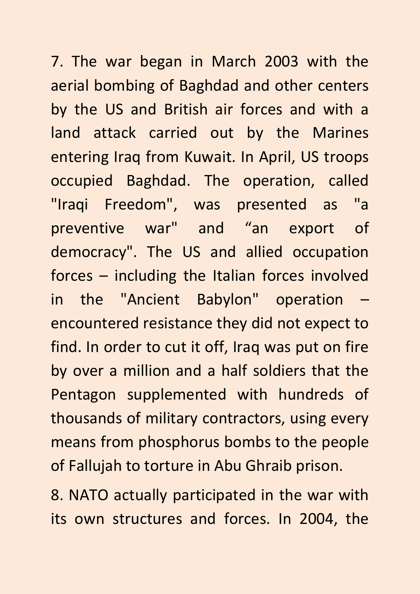7. The war began in March 2003 with the aerial bombing of Baghdad and other centers by the US and British air forces and with a land attack carried out by the Marines entering Iraq from Kuwait. In April, US troops occupied Baghdad. The operation, called "Iraqi Freedom", was presented as "a preventive war" and "an export of democracy". The US and allied occupation forces – including the Italian forces involved in the "Ancient Babylon" operation encountered resistance they did not expect to find. In order to cut it off, Iraq was put on fire by over a million and a half soldiers that the Pentagon supplemented with hundreds of thousands of military contractors, using every means from phosphorus bombs to the people of Fallujah to torture in Abu Ghraib prison.

8. NATO actually participated in the war with its own structures and forces. In 2004, the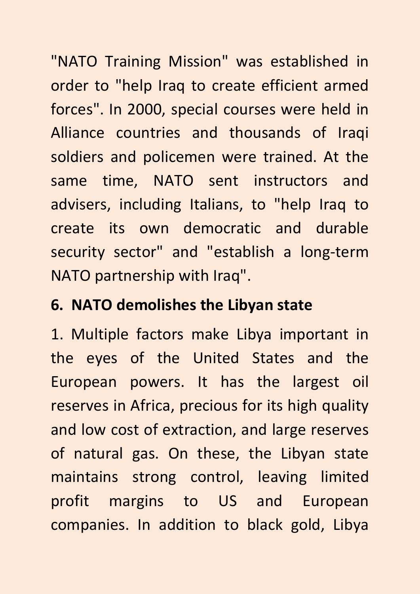"NATO Training Mission" was established in order to "help Iraq to create efficient armed forces". In 2000, special courses were held in Alliance countries and thousands of Iraqi soldiers and policemen were trained. At the same time, NATO sent instructors and advisers, including Italians, to "help Iraq to create its own democratic and durable security sector" and "establish a long-term NATO partnership with Iraq".

## **6. NATO demolishes the Libyan state**

1. Multiple factors make Libya important in the eyes of the United States and the European powers. It has the largest oil reserves in Africa, precious for its high quality and low cost of extraction, and large reserves of natural gas. On these, the Libyan state maintains strong control, leaving limited profit margins to US and European companies. In addition to black gold, Libya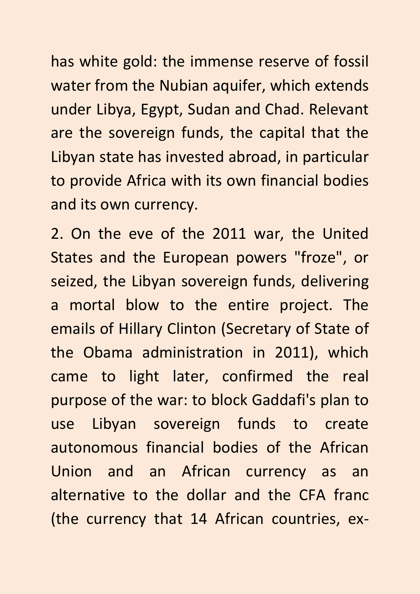has white gold: the immense reserve of fossil water from the Nubian aquifer, which extends under Libya, Egypt, Sudan and Chad. Relevant are the sovereign funds, the capital that the Libyan state has invested abroad, in particular to provide Africa with its own financial bodies and its own currency.

2. On the eve of the 2011 war, the United States and the European powers "froze", or seized, the Libyan sovereign funds, delivering a mortal blow to the entire project. The emails of Hillary Clinton (Secretary of State of the Obama administration in 2011), which came to light later, confirmed the real purpose of the war: to block Gaddafi's plan to use Libyan sovereign funds to create autonomous financial bodies of the African Union and an African currency as an alternative to the dollar and the CFA franc (the currency that 14 African countries, ex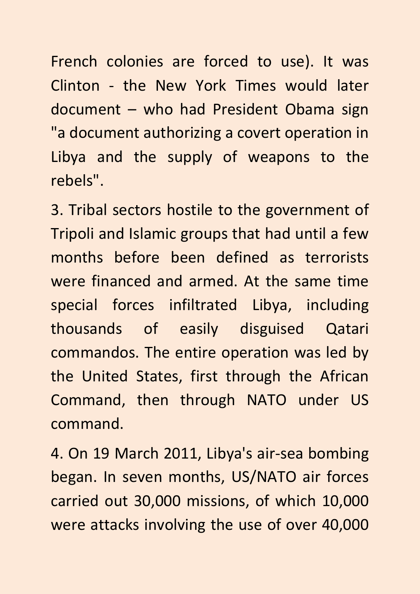French colonies are forced to use). It was Clinton - the New York Times would later document – who had President Obama sign "a document authorizing a covert operation in Libya and the supply of weapons to the rebels".

3. Tribal sectors hostile to the government of Tripoli and Islamic groups that had until a few months before been defined as terrorists were financed and armed. At the same time special forces infiltrated Libya, including thousands of easily disguised Qatari commandos. The entire operation was led by the United States, first through the African Command, then through NATO under US command.

4. On 19 March 2011, Libya's air-sea bombing began. In seven months, US/NATO air forces carried out 30,000 missions, of which 10,000 were attacks involving the use of over 40,000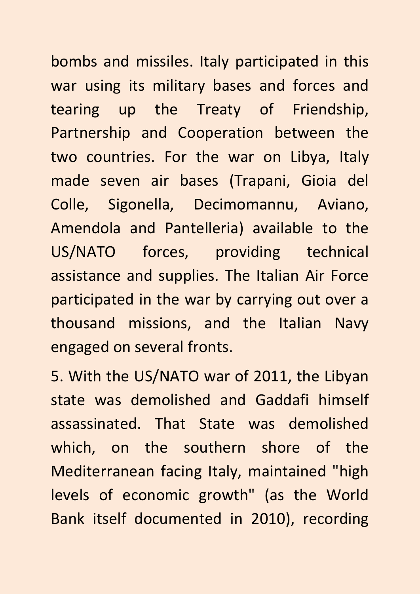bombs and missiles. Italy participated in this war using its military bases and forces and tearing up the Treaty of Friendship, Partnership and Cooperation between the two countries. For the war on Libya, Italy made seven air bases (Trapani, Gioia del Colle, Sigonella, Decimomannu, Aviano, Amendola and Pantelleria) available to the US/NATO forces, providing technical assistance and supplies. The Italian Air Force participated in the war by carrying out over a thousand missions, and the Italian Navy engaged on several fronts.

5. With the US/NATO war of 2011, the Libyan state was demolished and Gaddafi himself assassinated. That State was demolished which, on the southern shore of the Mediterranean facing Italy, maintained "high levels of economic growth" (as the World Bank itself documented in 2010), recording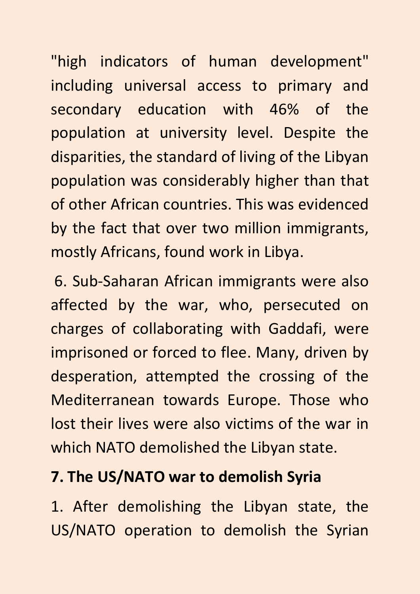"high indicators of human development" including universal access to primary and secondary education with 46% of the population at university level. Despite the disparities, the standard of living of the Libyan population was considerably higher than that of other African countries. This was evidenced by the fact that over two million immigrants, mostly Africans, found work in Libya.

6. Sub-Saharan African immigrants were also affected by the war, who, persecuted on charges of collaborating with Gaddafi, were imprisoned or forced to flee. Many, driven by desperation, attempted the crossing of the Mediterranean towards Europe. Those who lost their lives were also victims of the war in which NATO demolished the Libyan state.

# **7. The US/NATO war to demolish Syria**

1. After demolishing the Libyan state, the US/NATO operation to demolish the Syrian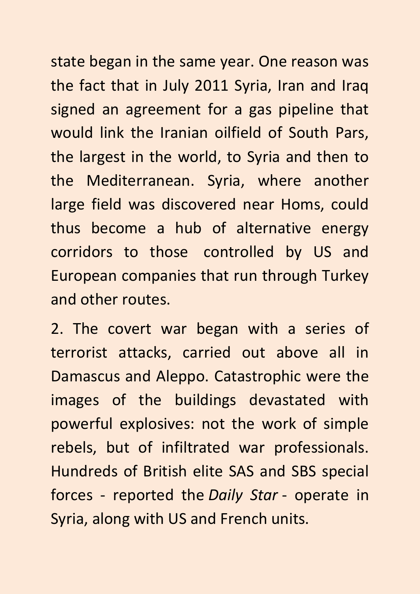state began in the same year. One reason was the fact that in July 2011 Syria, Iran and Iraq signed an agreement for a gas pipeline that would link the Iranian oilfield of South Pars, the largest in the world, to Syria and then to the Mediterranean. Syria, where another large field was discovered near Homs, could thus become a hub of alternative energy corridors to those controlled by US and European companies that run through Turkey and other routes.

2. The covert war began with a series of terrorist attacks, carried out above all in Damascus and Aleppo. Catastrophic were the images of the buildings devastated with powerful explosives: not the work of simple rebels, but of infiltrated war professionals. Hundreds of British elite SAS and SBS special forces - reported the *Daily Star* - operate in Syria, along with US and French units.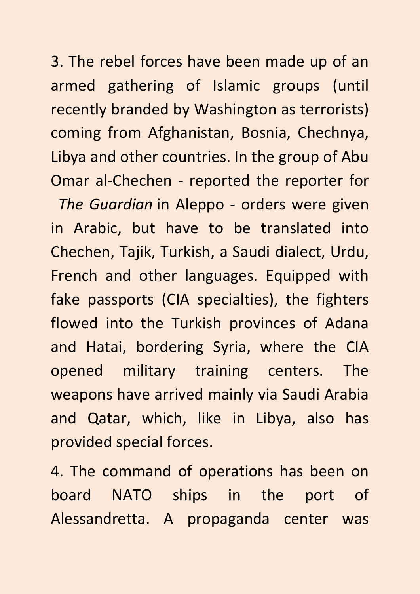3. The rebel forces have been made up of an armed gathering of Islamic groups (until recently branded by Washington as terrorists) coming from Afghanistan, Bosnia, Chechnya, Libya and other countries. In the group of Abu Omar al-Chechen - reported the reporter for

 *The Guardian* in Aleppo - orders were given in Arabic, but have to be translated into Chechen, Tajik, Turkish, a Saudi dialect, Urdu, French and other languages. Equipped with fake passports (CIA specialties), the fighters flowed into the Turkish provinces of Adana and Hatai, bordering Syria, where the CIA opened military training centers. The weapons have arrived mainly via Saudi Arabia and Qatar, which, like in Libya, also has provided special forces.

4. The command of operations has been on board NATO ships in the port of Alessandretta. A propaganda center was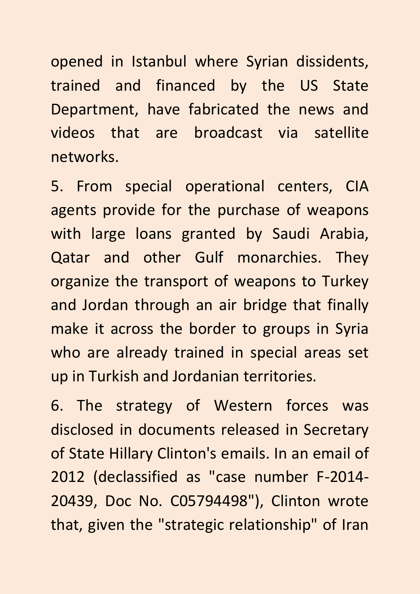opened in Istanbul where Syrian dissidents, trained and financed by the US State Department, have fabricated the news and videos that are broadcast via satellite networks.

5. From special operational centers, CIA agents provide for the purchase of weapons with large loans granted by Saudi Arabia, Qatar and other Gulf monarchies. They organize the transport of weapons to Turkey and Jordan through an air bridge that finally make it across the border to groups in Syria who are already trained in special areas set up in Turkish and Jordanian territories.

6. The strategy of Western forces was disclosed in documents released in Secretary of State Hillary Clinton's emails. In an email of 2012 (declassified as "case number F-2014- 20439, Doc No. C05794498"), Clinton wrote that, given the "strategic relationship" of Iran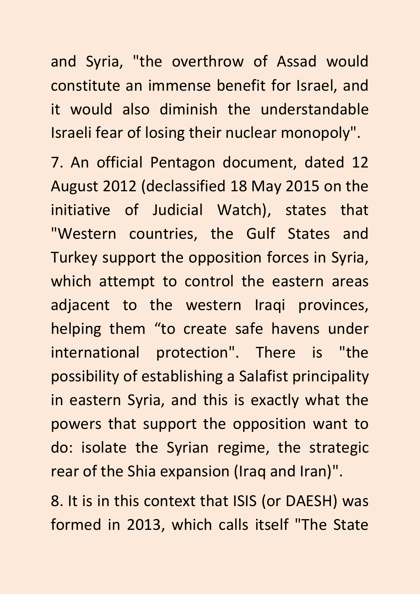and Syria, "the overthrow of Assad would constitute an immense benefit for Israel, and it would also diminish the understandable Israeli fear of losing their nuclear monopoly".

7. An official Pentagon document, dated 12 August 2012 (declassified 18 May 2015 on the initiative of Judicial Watch), states that "Western countries, the Gulf States and Turkey support the opposition forces in Syria, which attempt to control the eastern areas adjacent to the western Iraqi provinces, helping them "to create safe havens under international protection". There is "the possibility of establishing a Salafist principality in eastern Syria, and this is exactly what the powers that support the opposition want to do: isolate the Syrian regime, the strategic rear of the Shia expansion (Iraq and Iran)".

8. It is in this context that ISIS (or DAESH) was formed in 2013, which calls itself "The State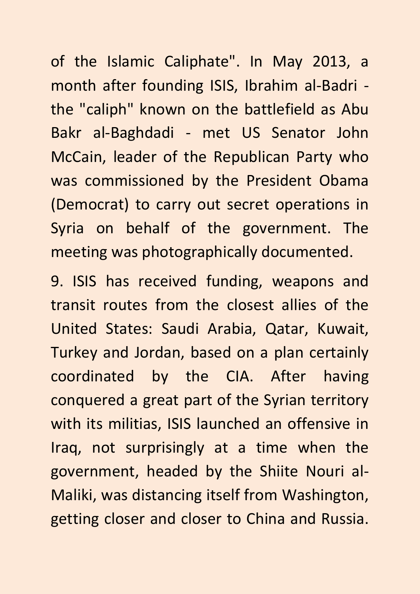of the Islamic Caliphate". In May 2013, a month after founding ISIS, Ibrahim al-Badri the "caliph" known on the battlefield as Abu Bakr al-Baghdadi - met US Senator John McCain, leader of the Republican Party who was commissioned by the President Obama (Democrat) to carry out secret operations in Syria on behalf of the government. The meeting was photographically documented.

9. ISIS has received funding, weapons and transit routes from the closest allies of the United States: Saudi Arabia, Qatar, Kuwait, Turkey and Jordan, based on a plan certainly coordinated by the CIA. After having conquered a great part of the Syrian territory with its militias, ISIS launched an offensive in Iraq, not surprisingly at a time when the government, headed by the Shiite Nouri al-Maliki, was distancing itself from Washington, getting closer and closer to China and Russia.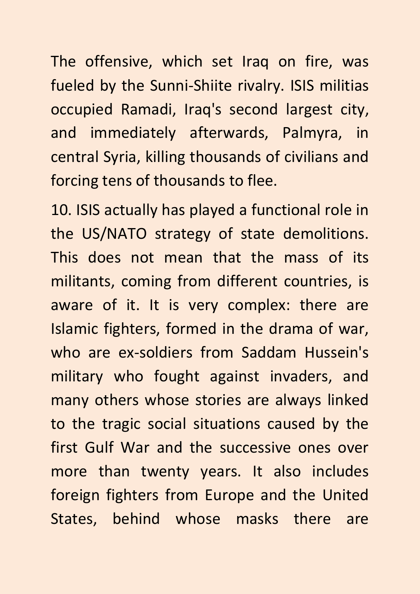The offensive, which set Iraq on fire, was fueled by the Sunni-Shiite rivalry. ISIS militias occupied Ramadi, Iraq's second largest city, and immediately afterwards, Palmyra, in central Syria, killing thousands of civilians and forcing tens of thousands to flee.

10. ISIS actually has played a functional role in the US/NATO strategy of state demolitions. This does not mean that the mass of its militants, coming from different countries, is aware of it. It is very complex: there are Islamic fighters, formed in the drama of war, who are ex-soldiers from Saddam Hussein's military who fought against invaders, and many others whose stories are always linked to the tragic social situations caused by the first Gulf War and the successive ones over more than twenty years. It also includes foreign fighters from Europe and the United States, behind whose masks there are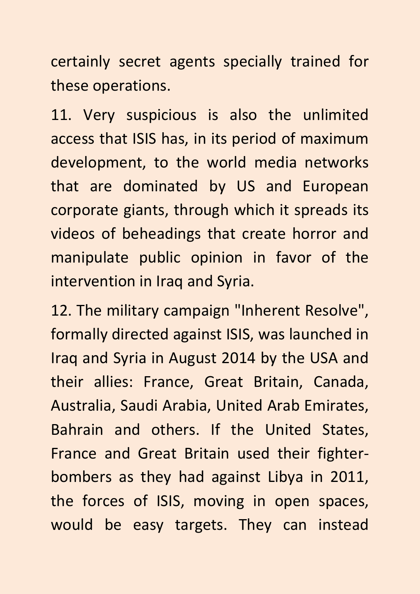certainly secret agents specially trained for these operations.

11. Very suspicious is also the unlimited access that ISIS has, in its period of maximum development, to the world media networks that are dominated by US and European corporate giants, through which it spreads its videos of beheadings that create horror and manipulate public opinion in favor of the intervention in Iraq and Syria.

12. The military campaign "Inherent Resolve", formally directed against ISIS, was launched in Iraq and Syria in August 2014 by the USA and their allies: France, Great Britain, Canada, Australia, Saudi Arabia, United Arab Emirates, Bahrain and others. If the United States, France and Great Britain used their fighterbombers as they had against Libya in 2011, the forces of ISIS, moving in open spaces, would be easy targets. They can instead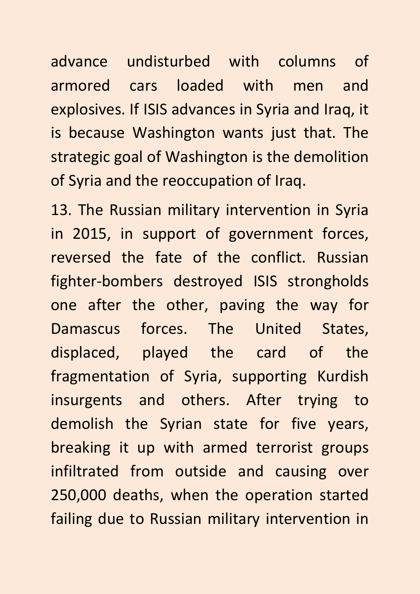advance undisturbed with columns of armored cars loaded with men and explosives. If ISIS advances in Syria and Iraq, it is because Washington wants just that. The strategic goal of Washington is the demolition of Syria and the reoccupation of Iraq.

13. The Russian military intervention in Syria in 2015, in support of government forces, reversed the fate of the conflict. Russian fighter-bombers destroyed ISIS strongholds one after the other, paving the way for Damascus forces. The United States, displaced, played the card of the fragmentation of Syria, supporting Kurdish insurgents and others. After trying to demolish the Syrian state for five years, breaking it up with armed terrorist groups infiltrated from outside and causing over 250,000 deaths, when the operation started failing due to Russian military intervention in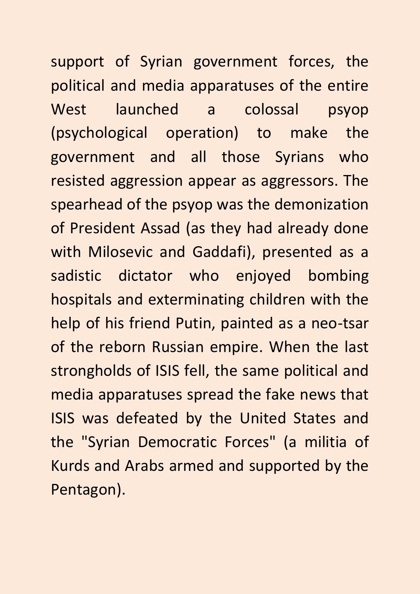support of Syrian government forces, the political and media apparatuses of the entire West launched a colossal psyop (psychological operation) to make the government and all those Syrians who resisted aggression appear as aggressors. The spearhead of the psyop was the demonization of President Assad (as they had already done with Milosevic and Gaddafi), presented as a sadistic dictator who enjoyed bombing hospitals and exterminating children with the help of his friend Putin, painted as a neo-tsar of the reborn Russian empire. When the last strongholds of ISIS fell, the same political and media apparatuses spread the fake news that ISIS was defeated by the United States and the "Syrian Democratic Forces" (a militia of Kurds and Arabs armed and supported by the Pentagon).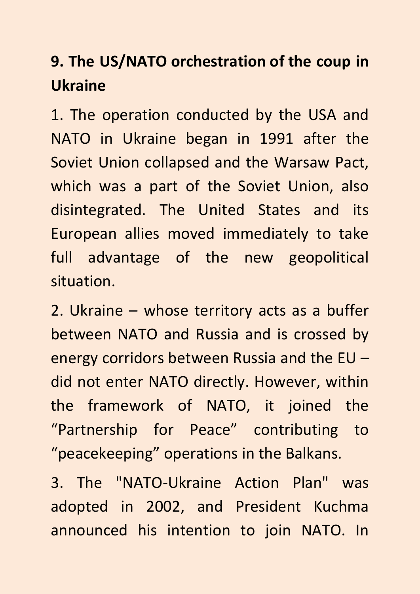# **9. The US/NATO orchestration of the coup in Ukraine**

1. The operation conducted by the USA and NATO in Ukraine began in 1991 after the Soviet Union collapsed and the Warsaw Pact, which was a part of the Soviet Union, also disintegrated. The United States and its European allies moved immediately to take full advantage of the new geopolitical situation.

2. Ukraine – whose territory acts as a buffer between NATO and Russia and is crossed by energy corridors between Russia and the EU – did not enter NATO directly. However, within the framework of NATO, it joined the "Partnership for Peace" contributing to "peacekeeping" operations in the Balkans.

3. The "NATO-Ukraine Action Plan" was adopted in 2002, and President Kuchma announced his intention to join NATO. In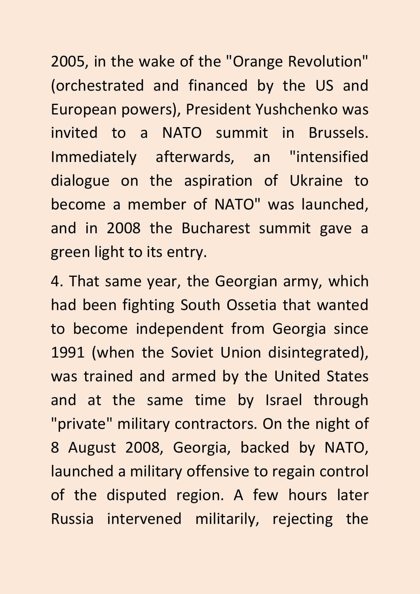2005, in the wake of the "Orange Revolution" (orchestrated and financed by the US and European powers), President Yushchenko was invited to a NATO summit in Brussels. Immediately afterwards, an "intensified dialogue on the aspiration of Ukraine to become a member of NATO" was launched, and in 2008 the Bucharest summit gave a green light to its entry.

4. That same year, the Georgian army, which had been fighting South Ossetia that wanted to become independent from Georgia since 1991 (when the Soviet Union disintegrated), was trained and armed by the United States and at the same time by Israel through "private" military contractors. On the night of 8 August 2008, Georgia, backed by NATO, launched a military offensive to regain control of the disputed region. A few hours later Russia intervened militarily, rejecting the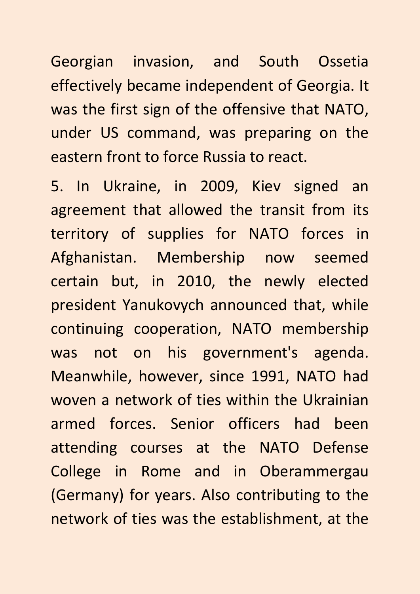Georgian invasion, and South Ossetia effectively became independent of Georgia. It was the first sign of the offensive that NATO, under US command, was preparing on the eastern front to force Russia to react.

5. In Ukraine, in 2009, Kiev signed an agreement that allowed the transit from its territory of supplies for NATO forces in Afghanistan. Membership now seemed certain but, in 2010, the newly elected president Yanukovych announced that, while continuing cooperation, NATO membership was not on his government's agenda. Meanwhile, however, since 1991, NATO had woven a network of ties within the Ukrainian armed forces. Senior officers had been attending courses at the NATO Defense College in Rome and in Oberammergau (Germany) for years. Also contributing to the network of ties was the establishment, at the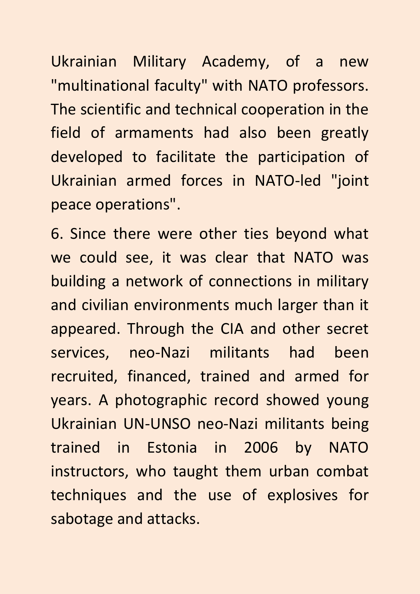Ukrainian Military Academy, of a new "multinational faculty" with NATO professors. The scientific and technical cooperation in the field of armaments had also been greatly developed to facilitate the participation of Ukrainian armed forces in NATO-led "joint peace operations".

6. Since there were other ties beyond what we could see, it was clear that NATO was building a network of connections in military and civilian environments much larger than it appeared. Through the CIA and other secret services, neo-Nazi militants had been recruited, financed, trained and armed for years. A photographic record showed young Ukrainian UN-UNSO neo-Nazi militants being trained in Estonia in 2006 by NATO instructors, who taught them urban combat techniques and the use of explosives for sabotage and attacks.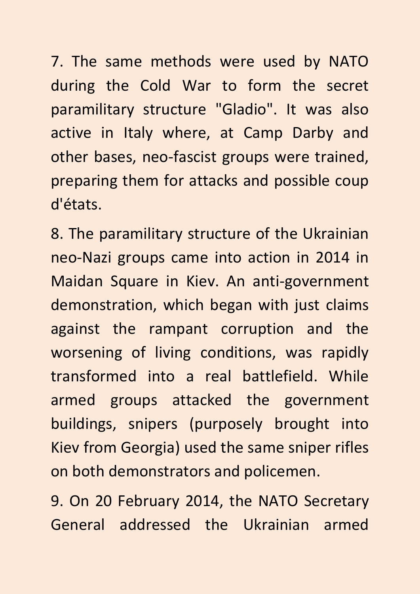7. The same methods were used by NATO during the Cold War to form the secret paramilitary structure "Gladio". It was also active in Italy where, at Camp Darby and other bases, neo-fascist groups were trained, preparing them for attacks and possible coup d'états.

8. The paramilitary structure of the Ukrainian neo-Nazi groups came into action in 2014 in Maidan Square in Kiev. An anti-government demonstration, which began with just claims against the rampant corruption and the worsening of living conditions, was rapidly transformed into a real battlefield. While armed groups attacked the government buildings, snipers (purposely brought into Kiev from Georgia) used the same sniper rifles on both demonstrators and policemen.

9. On 20 February 2014, the NATO Secretary General addressed the Ukrainian armed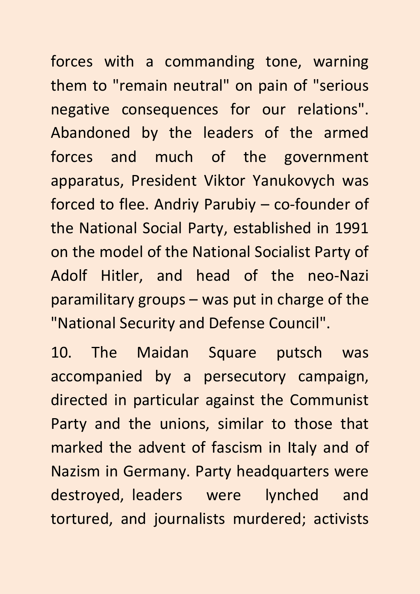forces with a commanding tone, warning them to "remain neutral" on pain of "serious negative consequences for our relations". Abandoned by the leaders of the armed forces and much of the government apparatus, President Viktor Yanukovych was forced to flee. Andriy Parubiy – co-founder of the National Social Party, established in 1991 on the model of the National Socialist Party of Adolf Hitler, and head of the neo-Nazi paramilitary groups – was put in charge of the "National Security and Defense Council".

10. The Maidan Square putsch was accompanied by a persecutory campaign, directed in particular against the Communist Party and the unions, similar to those that marked the advent of fascism in Italy and of Nazism in Germany. Party headquarters were destroyed, leaders were lynched and tortured, and journalists murdered; activists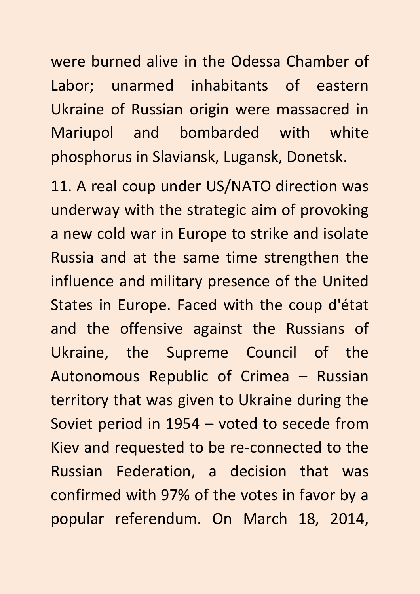were burned alive in the Odessa Chamber of Labor; unarmed inhabitants of eastern Ukraine of Russian origin were massacred in Mariupol and bombarded with white phosphorus in Slaviansk, Lugansk, Donetsk.

11. A real coup under US/NATO direction was underway with the strategic aim of provoking a new cold war in Europe to strike and isolate Russia and at the same time strengthen the influence and military presence of the United States in Europe. Faced with the coup d'état and the offensive against the Russians of Ukraine, the Supreme Council of the Autonomous Republic of Crimea – Russian territory that was given to Ukraine during the Soviet period in 1954 – voted to secede from Kiev and requested to be re-connected to the Russian Federation, a decision that was confirmed with 97% of the votes in favor by a popular referendum. On March 18, 2014,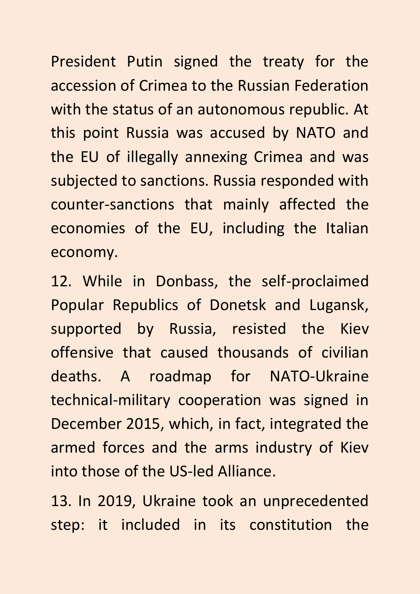President Putin signed the treaty for the accession of Crimea to the Russian Federation with the status of an autonomous republic. At this point Russia was accused by NATO and the EU of illegally annexing Crimea and was subjected to sanctions. Russia responded with counter-sanctions that mainly affected the economies of the EU, including the Italian economy.

12. While in Donbass, the self-proclaimed Popular Republics of Donetsk and Lugansk, supported by Russia, resisted the Kiev offensive that caused thousands of civilian deaths. A roadmap for NATO-Ukraine technical-military cooperation was signed in December 2015, which, in fact, integrated the armed forces and the arms industry of Kiev into those of the US-led Alliance.

13. In 2019, Ukraine took an unprecedented step: it included in its constitution the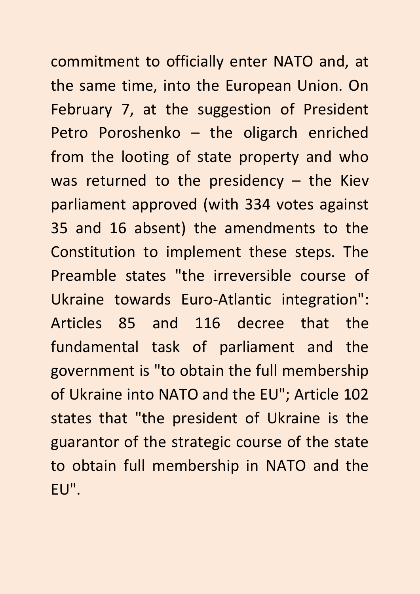commitment to officially enter NATO and, at the same time, into the European Union. On February 7, at the suggestion of President Petro Poroshenko – the oligarch enriched from the looting of state property and who was returned to the presidency – the Kiev parliament approved (with 334 votes against 35 and 16 absent) the amendments to the Constitution to implement these steps. The Preamble states "the irreversible course of Ukraine towards Euro-Atlantic integration": Articles 85 and 116 decree that the fundamental task of parliament and the government is "to obtain the full membership of Ukraine into NATO and the EU"; Article 102 states that "the president of Ukraine is the guarantor of the strategic course of the state to obtain full membership in NATO and the EU".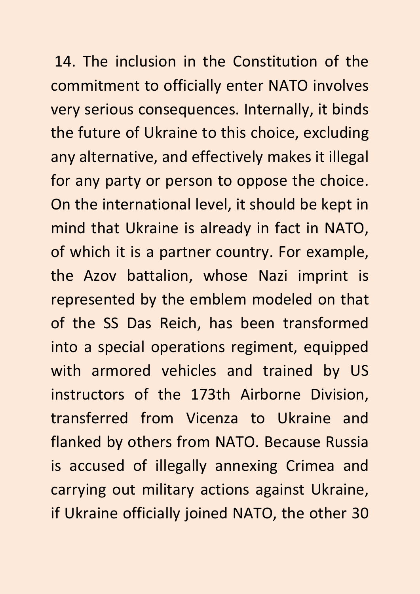14. The inclusion in the Constitution of the commitment to officially enter NATO involves very serious consequences. Internally, it binds the future of Ukraine to this choice, excluding any alternative, and effectively makes it illegal for any party or person to oppose the choice. On the international level, it should be kept in mind that Ukraine is already in fact in NATO, of which it is a partner country. For example, the Azov battalion, whose Nazi imprint is represented by the emblem modeled on that of the SS Das Reich, has been transformed into a special operations regiment, equipped with armored vehicles and trained by US instructors of the 173th Airborne Division, transferred from Vicenza to Ukraine and flanked by others from NATO. Because Russia is accused of illegally annexing Crimea and carrying out military actions against Ukraine, if Ukraine officially joined NATO, the other 30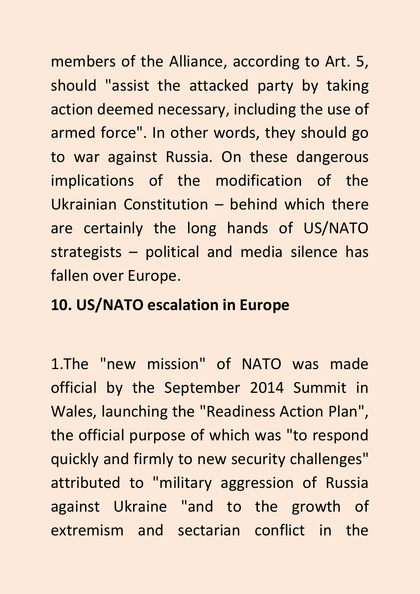members of the Alliance, according to Art. 5, should "assist the attacked party by taking action deemed necessary, including the use of armed force". In other words, they should go to war against Russia. On these dangerous implications of the modification of the Ukrainian Constitution – behind which there are certainly the long hands of US/NATO strategists – political and media silence has fallen over Europe.

## **10. US/NATO escalation in Europe**

1.The "new mission" of NATO was made official by the September 2014 Summit in Wales, launching the "Readiness Action Plan", the official purpose of which was "to respond quickly and firmly to new security challenges" attributed to "military aggression of Russia against Ukraine "and to the growth of extremism and sectarian conflict in the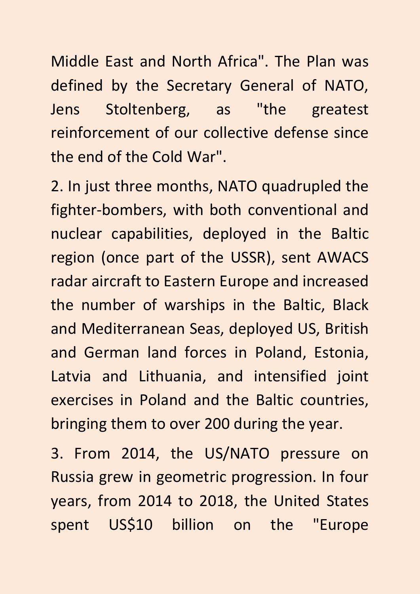Middle East and North Africa". The Plan was defined by the Secretary General of NATO, Jens Stoltenberg, as "the greatest reinforcement of our collective defense since the end of the Cold War".

2. In just three months, NATO quadrupled the fighter-bombers, with both conventional and nuclear capabilities, deployed in the Baltic region (once part of the USSR), sent AWACS radar aircraft to Eastern Europe and increased the number of warships in the Baltic, Black and Mediterranean Seas, deployed US, British and German land forces in Poland, Estonia, Latvia and Lithuania, and intensified joint exercises in Poland and the Baltic countries, bringing them to over 200 during the year.

3. From 2014, the US/NATO pressure on Russia grew in geometric progression. In four years, from 2014 to 2018, the United States spent US\$10 billion on the "Europe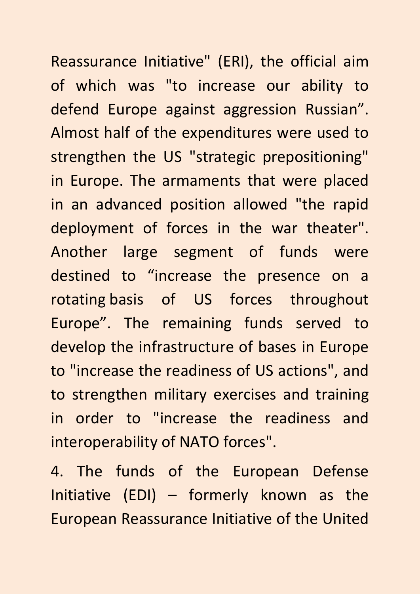Reassurance Initiative" (ERI), the official aim of which was "to increase our ability to defend Europe against aggression Russian". Almost half of the expenditures were used to strengthen the US "strategic prepositioning" in Europe. The armaments that were placed in an advanced position allowed "the rapid deployment of forces in the war theater". Another large segment of funds were destined to "increase the presence on a rotating basis of US forces throughout Europe". The remaining funds served to develop the infrastructure of bases in Europe to "increase the readiness of US actions", and to strengthen military exercises and training in order to "increase the readiness and interoperability of NATO forces".

4. The funds of the European Defense Initiative (EDI) – formerly known as the European Reassurance Initiative of the United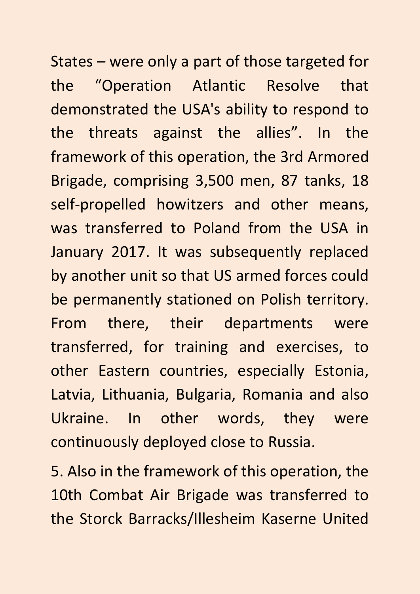States – were only a part of those targeted for the "Operation Atlantic Resolve that demonstrated the USA's ability to respond to the threats against the allies". In the framework of this operation, the 3rd Armored Brigade, comprising 3,500 men, 87 tanks, 18 self-propelled howitzers and other means, was transferred to Poland from the USA in January 2017. It was subsequently replaced by another unit so that US armed forces could be permanently stationed on Polish territory. From there, their departments were transferred, for training and exercises, to other Eastern countries, especially Estonia, Latvia, Lithuania, Bulgaria, Romania and also Ukraine. In other words, they were continuously deployed close to Russia.

5. Also in the framework of this operation, the 10th Combat Air Brigade was transferred to the Storck Barracks/Illesheim Kaserne United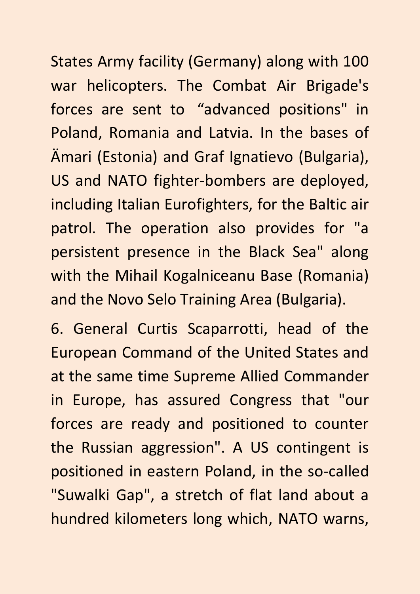States Army facility (Germany) along with 100 war helicopters. The Combat Air Brigade's forces are sent to "advanced positions" in Poland, Romania and Latvia. In the bases of Ämari (Estonia) and Graf Ignatievo (Bulgaria), US and NATO fighter-bombers are deployed, including Italian Eurofighters, for the Baltic air patrol. The operation also provides for "a persistent presence in the Black Sea" along with the Mihail Kogalniceanu Base (Romania) and the Novo Selo Training Area (Bulgaria).

6. General Curtis Scaparrotti, head of the European Command of the United States and at the same time Supreme Allied Commander in Europe, has assured Congress that "our forces are ready and positioned to counter the Russian aggression". A US contingent is positioned in eastern Poland, in the so-called "Suwalki Gap", a stretch of flat land about a hundred kilometers long which, NATO warns,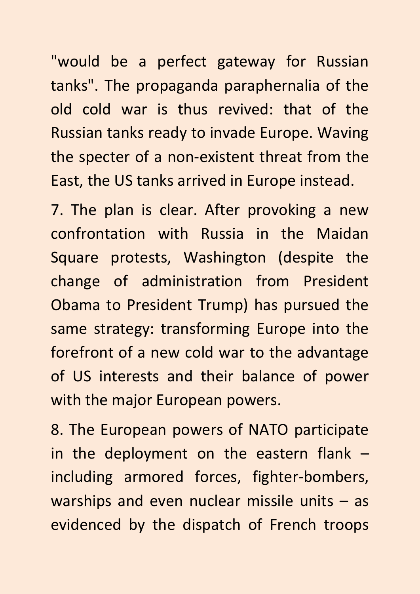"would be a perfect gateway for Russian tanks". The propaganda paraphernalia of the old cold war is thus revived: that of the Russian tanks ready to invade Europe. Waving the specter of a non-existent threat from the East, the US tanks arrived in Europe instead.

7. The plan is clear. After provoking a new confrontation with Russia in the Maidan Square protests, Washington (despite the change of administration from President Obama to President Trump) has pursued the same strategy: transforming Europe into the forefront of a new cold war to the advantage of US interests and their balance of power with the major European powers.

8. The European powers of NATO participate in the deployment on the eastern flank – including armored forces, fighter-bombers, warships and even nuclear missile units – as evidenced by the dispatch of French troops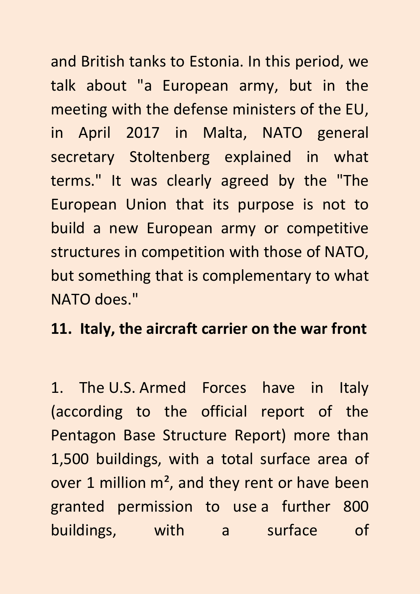and British tanks to Estonia. In this period, we talk about "a European army, but in the meeting with the defense ministers of the EU, in April 2017 in Malta, NATO general secretary Stoltenberg explained in what terms." It was clearly agreed by the "The European Union that its purpose is not to build a new European army or competitive structures in competition with those of NATO, but something that is complementary to what NATO does."

## **11. Italy, the aircraft carrier on the war front**

1. The U.S. Armed Forces have in Italy (according to the official report of the Pentagon Base Structure Report) more than 1,500 buildings, with a total surface area of over 1 million m<sup>2</sup>, and they rent or have been granted permission to use a further 800 buildings, with a surface of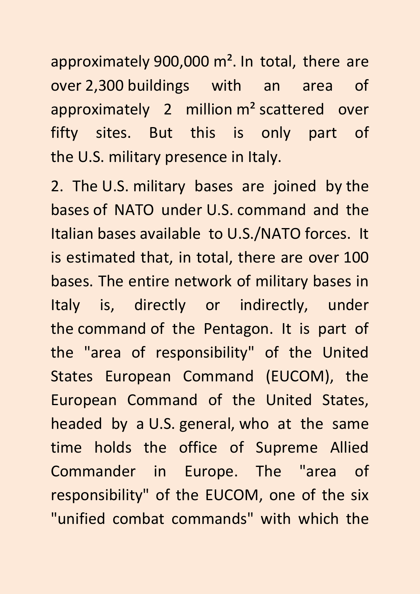approximately 900,000 m². In total, there are over 2,300 buildings with an area of approximately 2 million m² scattered over fifty sites. But this is only part of the U.S. military presence in Italy.

2. The U.S. military bases are joined by the bases of NATO under U.S. command and the Italian bases available to U.S./NATO forces. It is estimated that, in total, there are over 100 bases. The entire network of military bases in Italy is, directly or indirectly, under the command of the Pentagon. It is part of the "area of responsibility" of the United States European Command (EUCOM), the European Command of the United States, headed by a U.S. general, who at the same time holds the office of Supreme Allied Commander in Europe. The "area of responsibility" of the EUCOM, one of the six "unified combat commands" with which the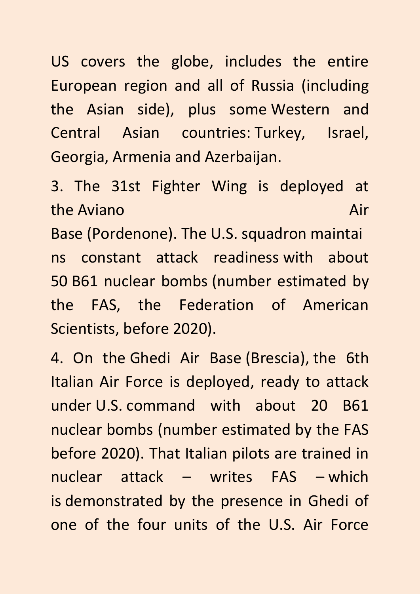US covers the globe, includes the entire European region and all of Russia (including the Asian side), plus some Western and Central Asian countries: Turkey, Israel, Georgia, Armenia and Azerbaijan.

3. The 31st Fighter Wing is deployed at the Aviano **Air** Air **Air** Air **Air** Air **Air** Air **Air** Base (Pordenone). The U.S. squadron maintai ns constant attack readiness with about 50 B61 nuclear bombs (number estimated by the FAS, the Federation of American Scientists, before 2020).

4. On the Ghedi Air Base (Brescia), the 6th Italian Air Force is deployed, ready to attack under U.S. command with about 20 B61 nuclear bombs (number estimated by the FAS before 2020). That Italian pilots are trained in nuclear attack – writes FAS – which is demonstrated by the presence in Ghedi of one of the four units of the U.S. Air Force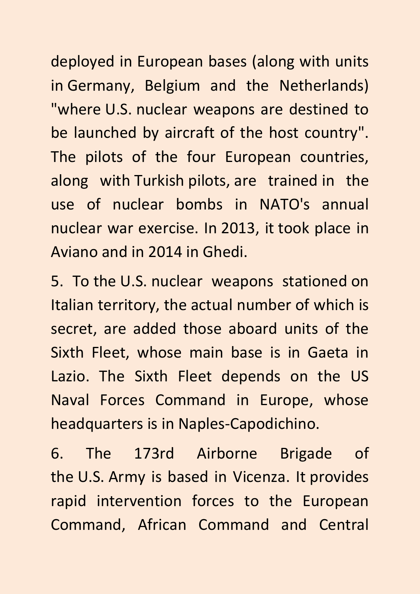deployed in European bases (along with units in Germany, Belgium and the Netherlands) "where U.S. nuclear weapons are destined to be launched by aircraft of the host country". The pilots of the four European countries, along with Turkish pilots, are trained in the use of nuclear bombs in NATO's annual nuclear war exercise. In 2013, it took place in Aviano and in 2014 in Ghedi.

5. To the U.S. nuclear weapons stationed on Italian territory, the actual number of which is secret, are added those aboard units of the Sixth Fleet, whose main base is in Gaeta in Lazio. The Sixth Fleet depends on the US Naval Forces Command in Europe, whose headquarters is in Naples-Capodichino.

6. The 173rd Airborne Brigade of the U.S. Army is based in Vicenza. It provides rapid intervention forces to the European Command, African Command and Central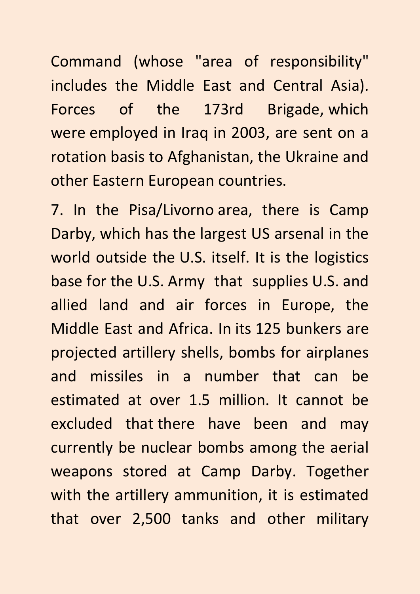Command (whose "area of responsibility" includes the Middle East and Central Asia). Forces of the 173rd Brigade, which were employed in Iraq in 2003, are sent on a rotation basis to Afghanistan, the Ukraine and other Eastern European countries.

7. In the Pisa/Livorno area, there is Camp Darby, which has the largest US arsenal in the world outside the U.S. itself. It is the logistics base for the U.S. Army that supplies U.S. and allied land and air forces in Europe, the Middle East and Africa. In its 125 bunkers are projected artillery shells, bombs for airplanes and missiles in a number that can be estimated at over 1.5 million. It cannot be excluded that there have been and may currently be nuclear bombs among the aerial weapons stored at Camp Darby. Together with the artillery ammunition, it is estimated that over 2,500 tanks and other military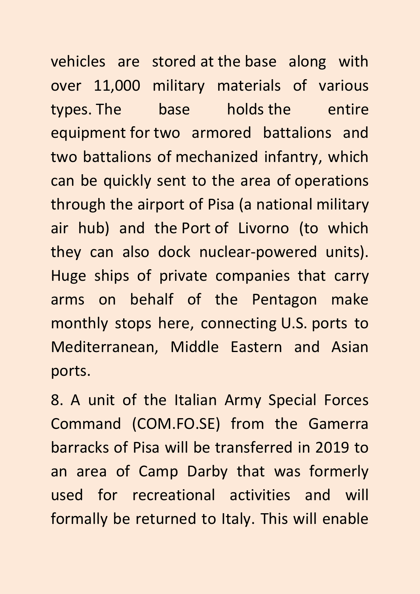vehicles are stored at the base along with over 11,000 military materials of various types. The base holds the entire equipment for two armored battalions and two battalions of mechanized infantry, which can be quickly sent to the area of operations through the airport of Pisa (a national military air hub) and the Port of Livorno (to which they can also dock nuclear-powered units). Huge ships of private companies that carry arms on behalf of the Pentagon make monthly stops here, connecting U.S. ports to Mediterranean, Middle Eastern and Asian ports.

8. A unit of the Italian Army Special Forces Command (COM.FO.SE) from the Gamerra barracks of Pisa will be transferred in 2019 to an area of Camp Darby that was formerly used for recreational activities and will formally be returned to Italy. This will enable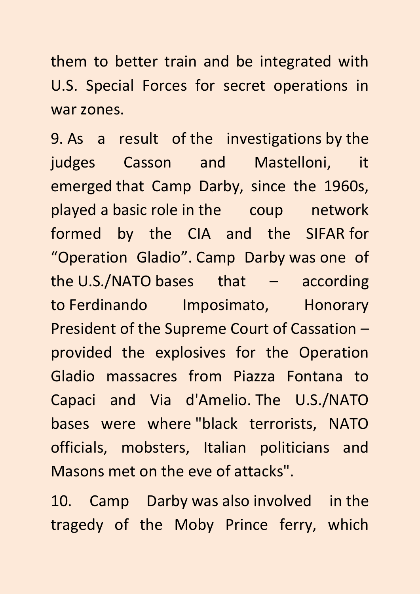them to better train and be integrated with U.S. Special Forces for secret operations in war zones.

9. As a result of the investigations by the judges Casson and Mastelloni, it emerged that Camp Darby, since the 1960s, played a basic role in the coup network formed by the CIA and the SIFAR for "Operation Gladio". Camp Darby was one of the U.S./NATO bases that  $-$  according to Ferdinando Imposimato, Honorary President of the Supreme Court of Cassation – provided the explosives for the Operation Gladio massacres from Piazza Fontana to Capaci and Via d'Amelio. The U.S./NATO bases were where "black terrorists, NATO officials, mobsters, Italian politicians and Masons met on the eve of attacks".

10. Camp Darby was also involved in the tragedy of the Moby Prince ferry, which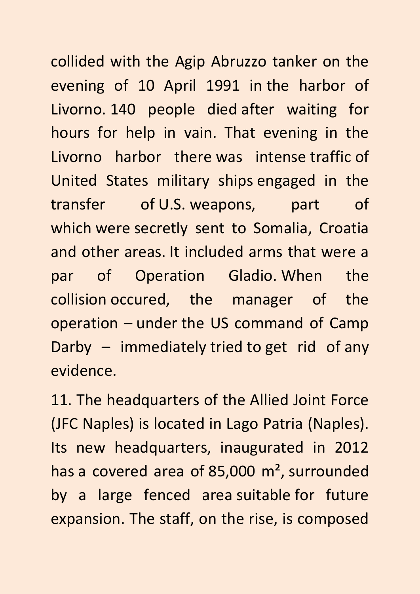collided with the Agip Abruzzo tanker on the evening of 10 April 1991 in the harbor of Livorno. 140 people died after waiting for hours for help in vain. That evening in the Livorno harbor there was intense traffic of United States military ships engaged in the transfer of U.S. weapons, part of which were secretly sent to Somalia, Croatia and other areas. It included arms that were a par of Operation Gladio. When the collision occured, the manager of the operation – under the US command of Camp Darby – immediately tried to get rid of any evidence.

11. The headquarters of the Allied Joint Force (JFC Naples) is located in Lago Patria (Naples). Its new headquarters, inaugurated in 2012 has a covered area of 85,000 m², surrounded by a large fenced area suitable for future expansion. The staff, on the rise, is composed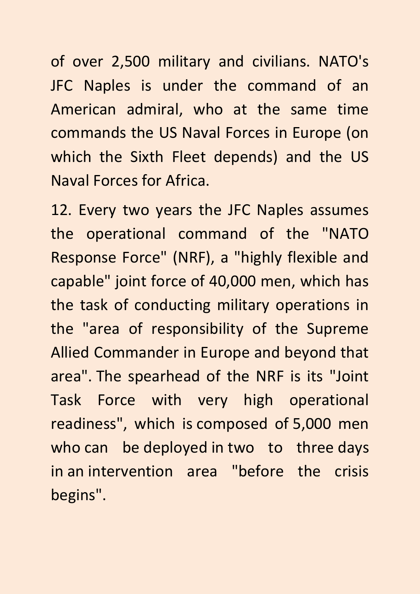of over 2,500 military and civilians. NATO's JFC Naples is under the command of an American admiral, who at the same time commands the US Naval Forces in Europe (on which the Sixth Fleet depends) and the US Naval Forces for Africa.

12. Every two years the JFC Naples assumes the operational command of the "NATO Response Force" (NRF), a "highly flexible and capable" joint force of 40,000 men, which has the task of conducting military operations in the "area of responsibility of the Supreme Allied Commander in Europe and beyond that area". The spearhead of the NRF is its "Joint Task Force with very high operational readiness", which is composed of 5,000 men who can be deployed in two to three days in an intervention area "before the crisis begins".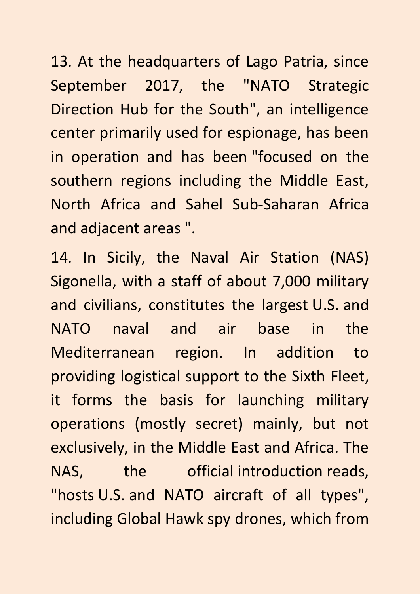13. At the headquarters of Lago Patria, since September 2017, the "NATO Strategic Direction Hub for the South", an intelligence center primarily used for espionage, has been in operation and has been "focused on the southern regions including the Middle East, North Africa and Sahel Sub-Saharan Africa and adjacent areas ".

14. In Sicily, the Naval Air Station (NAS) Sigonella, with a staff of about 7,000 military and civilians, constitutes the largest U.S. and NATO naval and air base in the Mediterranean region. In addition to providing logistical support to the Sixth Fleet, it forms the basis for launching military operations (mostly secret) mainly, but not exclusively, in the Middle East and Africa. The NAS, the official introduction reads, "hosts U.S. and NATO aircraft of all types", including Global Hawk spy drones, which from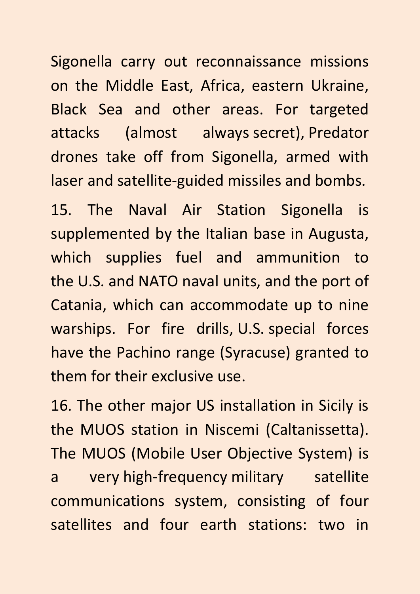Sigonella carry out reconnaissance missions on the Middle East, Africa, eastern Ukraine, Black Sea and other areas. For targeted attacks (almost always secret), Predator drones take off from Sigonella, armed with laser and satellite-guided missiles and bombs.

15. The Naval Air Station Sigonella is supplemented by the Italian base in Augusta, which supplies fuel and ammunition to the U.S. and NATO naval units, and the port of Catania, which can accommodate up to nine warships. For fire drills, U.S. special forces have the Pachino range (Syracuse) granted to them for their exclusive use.

16. The other major US installation in Sicily is the MUOS station in Niscemi (Caltanissetta). The MUOS (Mobile User Objective System) is a very high-frequency military satellite communications system, consisting of four satellites and four earth stations: two in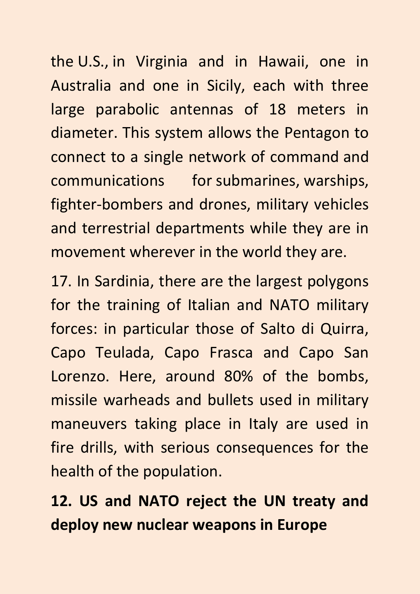the U.S., in Virginia and in Hawaii, one in Australia and one in Sicily, each with three large parabolic antennas of 18 meters in diameter. This system allows the Pentagon to connect to a single network of command and communications for submarines, warships, fighter-bombers and drones, military vehicles and terrestrial departments while they are in movement wherever in the world they are.

17. In Sardinia, there are the largest polygons for the training of Italian and NATO military forces: in particular those of Salto di Quirra, Capo Teulada, Capo Frasca and Capo San Lorenzo. Here, around 80% of the bombs, missile warheads and bullets used in military maneuvers taking place in Italy are used in fire drills, with serious consequences for the health of the population.

**12. US and NATO reject the UN treaty and deploy new nuclear weapons in Europe**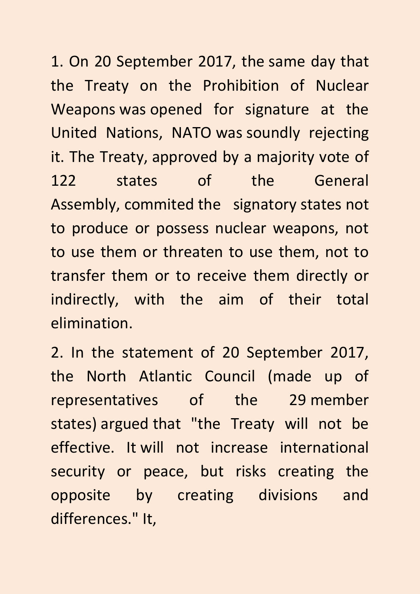1. On 20 September 2017, the same day that the Treaty on the Prohibition of Nuclear Weapons was opened for signature at the United Nations, NATO was soundly rejecting it. The Treaty, approved by a majority vote of 122 states of the General Assembly, commited the signatory states not to produce or possess nuclear weapons, not to use them or threaten to use them, not to transfer them or to receive them directly or indirectly, with the aim of their total elimination.

2. In the statement of 20 September 2017, the North Atlantic Council (made up of representatives of the 29 member states) argued that "the Treaty will not be effective. It will not increase international security or peace, but risks creating the opposite by creating divisions and differences." It,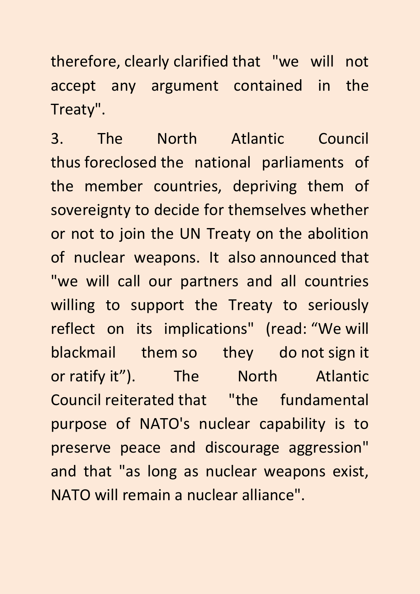therefore, clearly clarified that "we will not accept any argument contained in the Treaty".

3. The North Atlantic Council thus foreclosed the national parliaments of the member countries, depriving them of sovereignty to decide for themselves whether or not to join the UN Treaty on the abolition of nuclear weapons. It also announced that "we will call our partners and all countries willing to support the Treaty to seriously reflect on its implications" (read: "We will blackmail them so they do not sign it or ratify it"). The North Atlantic Council reiterated that "the fundamental purpose of NATO's nuclear capability is to preserve peace and discourage aggression" and that "as long as nuclear weapons exist, NATO will remain a nuclear alliance".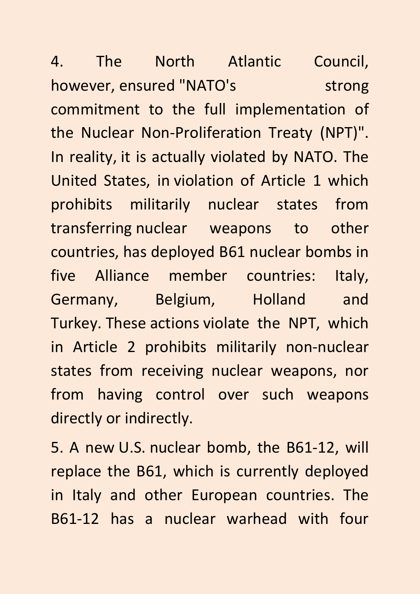4. The North Atlantic Council, however, ensured "NATO's strong commitment to the full implementation of the Nuclear Non-Proliferation Treaty (NPT)". In reality, it is actually violated by NATO. The United States, in violation of Article 1 which prohibits militarily nuclear states from transferring nuclear weapons to other countries, has deployed B61 nuclear bombs in five Alliance member countries: Italy, Germany, Belgium, Holland and Turkey. These actions violate the NPT, which in Article 2 prohibits militarily non-nuclear states from receiving nuclear weapons, nor from having control over such weapons directly or indirectly.

5. A new U.S. nuclear bomb, the B61-12, will replace the B61, which is currently deployed in Italy and other European countries. The B61-12 has a nuclear warhead with four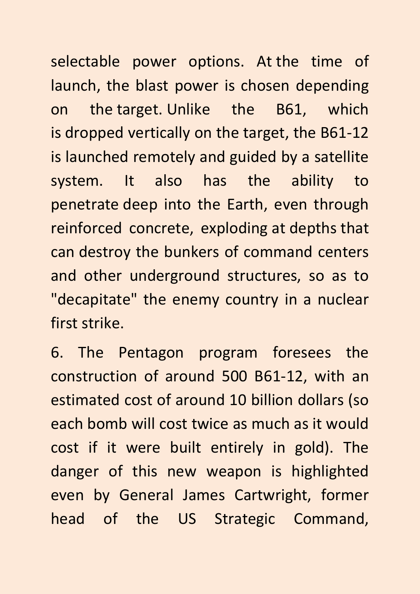selectable power options. At the time of launch, the blast power is chosen depending on the target. Unlike the B61, which is dropped vertically on the target, the B61-12 is launched remotely and guided by a satellite system. It also has the ability to penetrate deep into the Earth, even through reinforced concrete, exploding at depths that can destroy the bunkers of command centers and other underground structures, so as to "decapitate" the enemy country in a nuclear first strike.

6. The Pentagon program foresees the construction of around 500 B61-12, with an estimated cost of around 10 billion dollars (so each bomb will cost twice as much as it would cost if it were built entirely in gold). The danger of this new weapon is highlighted even by General James Cartwright, former head of the US Strategic Command,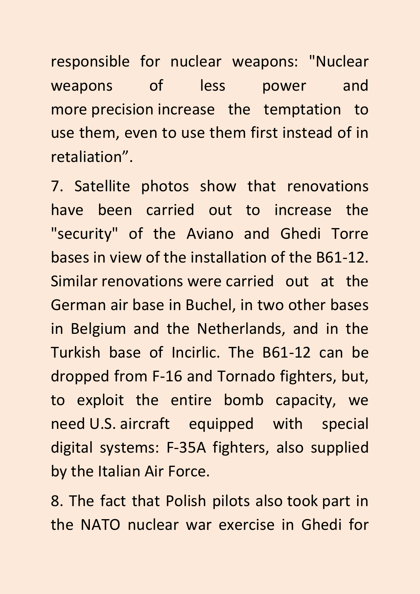responsible for nuclear weapons: "Nuclear weapons of less power and more precision increase the temptation to use them, even to use them first instead of in retaliation".

7. Satellite photos show that renovations have been carried out to increase the "security" of the Aviano and Ghedi Torre bases in view of the installation of the B61-12. Similar renovations were carried out at the German air base in Buchel, in two other bases in Belgium and the Netherlands, and in the Turkish base of Incirlic. The B61-12 can be dropped from F-16 and Tornado fighters, but, to exploit the entire bomb capacity, we need U.S. aircraft equipped with special digital systems: F-35A fighters, also supplied by the Italian Air Force.

8. The fact that Polish pilots also took part in the NATO nuclear war exercise in Ghedi for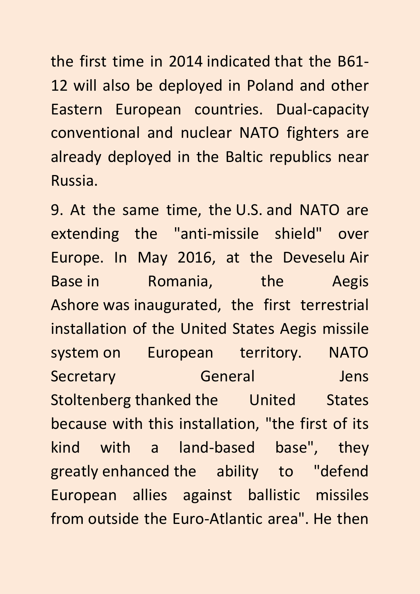the first time in 2014 indicated that the B61- 12 will also be deployed in Poland and other Eastern European countries. Dual-capacity conventional and nuclear NATO fighters are already deployed in the Baltic republics near Russia.

9. At the same time, the U.S. and NATO are extending the "anti-missile shield" over Europe. In May 2016, at the Deveselu Air Base in Romania, the Aegis Ashore was inaugurated, the first terrestrial installation of the United States Aegis missile system on European territory. NATO Secretary General Jens Stoltenberg thanked the United States because with this installation, "the first of its kind with a land-based base", they greatly enhanced the ability to "defend European allies against ballistic missiles from outside the Euro-Atlantic area". He then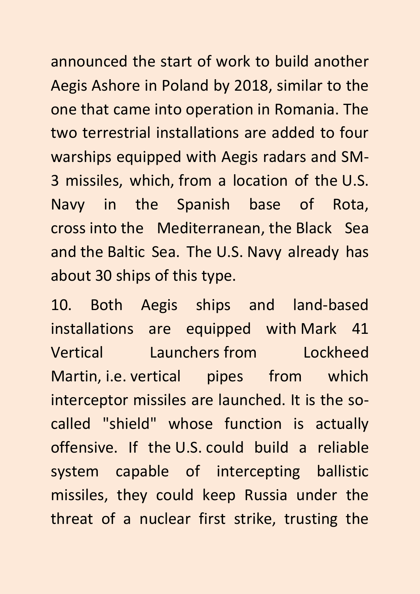announced the start of work to build another Aegis Ashore in Poland by 2018, similar to the one that came into operation in Romania. The two terrestrial installations are added to four warships equipped with Aegis radars and SM-3 missiles, which, from a location of the U.S. Navy in the Spanish base of Rota, cross into the Mediterranean, the Black Sea and the Baltic Sea. The U.S. Navy already has about 30 ships of this type.

10. Both Aegis ships and land-based installations are equipped with Mark 41 Vertical Launchers from Lockheed Martin, i.e. vertical pipes from which interceptor missiles are launched. It is the socalled "shield" whose function is actually offensive. If the U.S. could build a reliable system capable of intercepting ballistic missiles, they could keep Russia under the threat of a nuclear first strike, trusting the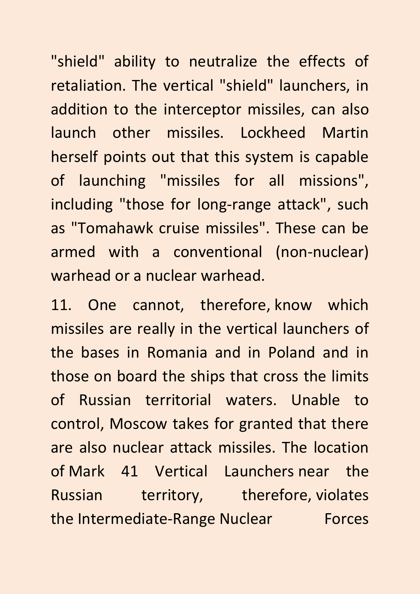"shield" ability to neutralize the effects of retaliation. The vertical "shield" launchers, in addition to the interceptor missiles, can also launch other missiles. Lockheed Martin herself points out that this system is capable of launching "missiles for all missions", including "those for long-range attack", such as "Tomahawk cruise missiles". These can be armed with a conventional (non-nuclear) warhead or a nuclear warhead.

11. One cannot, therefore, know which missiles are really in the vertical launchers of the bases in Romania and in Poland and in those on board the ships that cross the limits of Russian territorial waters. Unable to control, Moscow takes for granted that there are also nuclear attack missiles. The location of Mark 41 Vertical Launchers near the Russian territory, therefore, violates the Intermediate-Range Nuclear Forces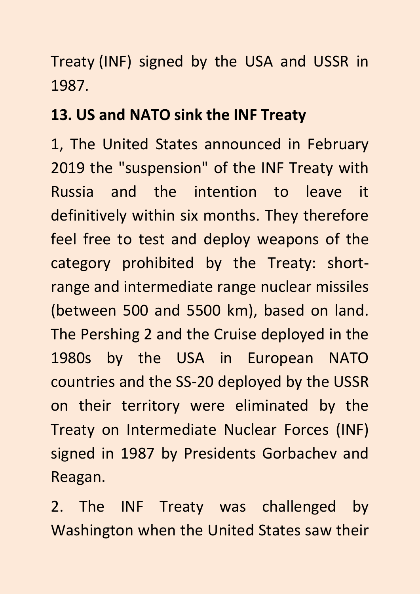Treaty (INF) signed by the USA and USSR in 1987.

## **13. US and NATO sink the INF Treaty**

1, The United States announced in February 2019 the "suspension" of the INF Treaty with Russia and the intention to leave it definitively within six months. They therefore feel free to test and deploy weapons of the category prohibited by the Treaty: shortrange and intermediate range nuclear missiles (between 500 and 5500 km), based on land. The Pershing 2 and the Cruise deployed in the 1980s by the USA in European NATO countries and the SS-20 deployed by the USSR on their territory were eliminated by the Treaty on Intermediate Nuclear Forces (INF) signed in 1987 by Presidents Gorbachev and Reagan.

2. The INF Treaty was challenged by Washington when the United States saw their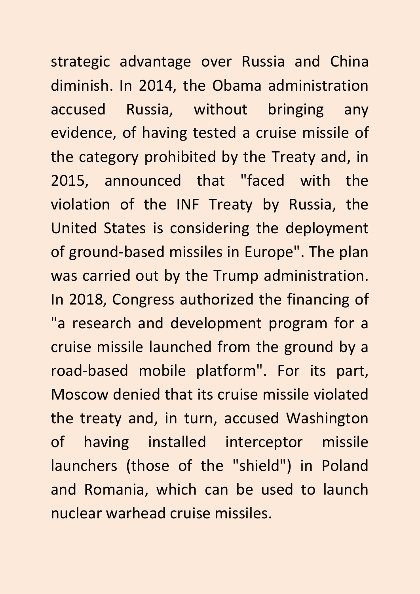strategic advantage over Russia and China diminish. In 2014, the Obama administration accused Russia, without bringing any evidence, of having tested a cruise missile of the category prohibited by the Treaty and, in 2015, announced that "faced with the violation of the INF Treaty by Russia, the United States is considering the deployment of ground-based missiles in Europe". The plan was carried out by the Trump administration. In 2018, Congress authorized the financing of "a research and development program for a cruise missile launched from the ground by a road-based mobile platform". For its part, Moscow denied that its cruise missile violated the treaty and, in turn, accused Washington of having installed interceptor missile launchers (those of the "shield") in Poland and Romania, which can be used to launch nuclear warhead cruise missiles.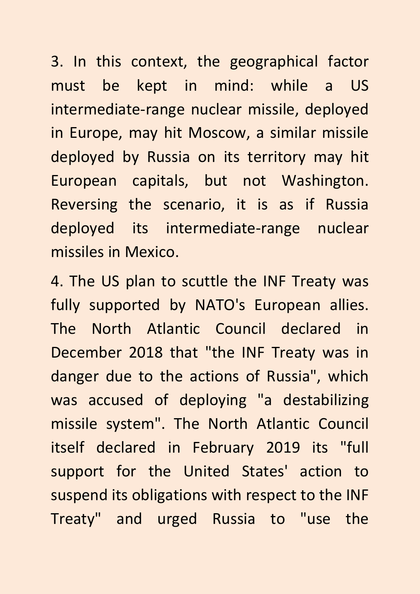3. In this context, the geographical factor must be kept in mind: while a US intermediate-range nuclear missile, deployed in Europe, may hit Moscow, a similar missile deployed by Russia on its territory may hit European capitals, but not Washington. Reversing the scenario, it is as if Russia deployed its intermediate-range nuclear missiles in Mexico.

4. The US plan to scuttle the INF Treaty was fully supported by NATO's European allies. The North Atlantic Council declared in December 2018 that "the INF Treaty was in danger due to the actions of Russia", which was accused of deploying "a destabilizing missile system". The North Atlantic Council itself declared in February 2019 its "full support for the United States' action to suspend its obligations with respect to the INF Treaty" and urged Russia to "use the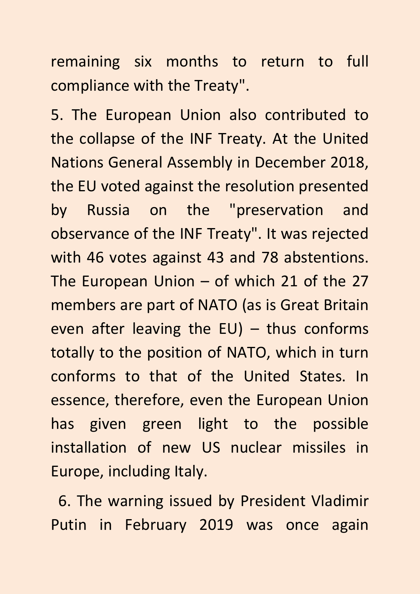remaining six months to return to full compliance with the Treaty".

5. The European Union also contributed to the collapse of the INF Treaty. At the United Nations General Assembly in December 2018, the EU voted against the resolution presented by Russia on the "preservation and observance of the INF Treaty". It was rejected with 46 votes against 43 and 78 abstentions. The European Union – of which 21 of the 27 members are part of NATO (as is Great Britain even after leaving the  $EU$  – thus conforms totally to the position of NATO, which in turn conforms to that of the United States. In essence, therefore, even the European Union has given green light to the possible installation of new US nuclear missiles in Europe, including Italy.

 6. The warning issued by President Vladimir Putin in February 2019 was once again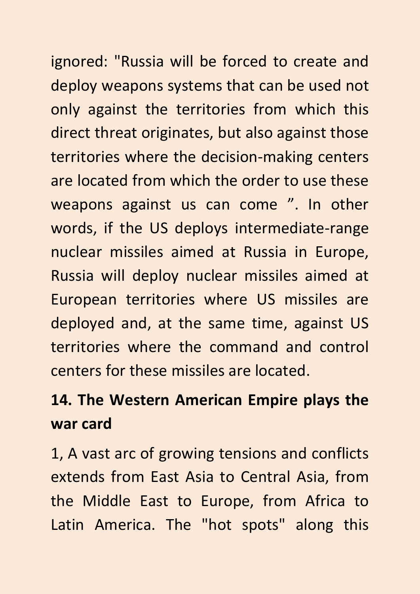ignored: "Russia will be forced to create and deploy weapons systems that can be used not only against the territories from which this direct threat originates, but also against those territories where the decision-making centers are located from which the order to use these weapons against us can come ". In other words, if the US deploys intermediate-range nuclear missiles aimed at Russia in Europe, Russia will deploy nuclear missiles aimed at European territories where US missiles are deployed and, at the same time, against US territories where the command and control centers for these missiles are located.

## **14. The Western American Empire plays the war card**

1, A vast arc of growing tensions and conflicts extends from East Asia to Central Asia, from the Middle East to Europe, from Africa to Latin America. The "hot spots" along this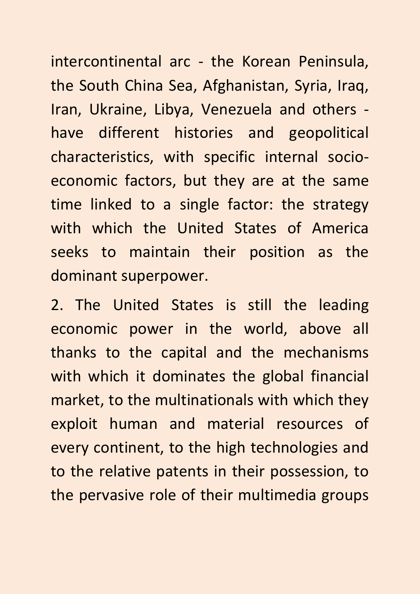intercontinental arc - the Korean Peninsula, the South China Sea, Afghanistan, Syria, Iraq, Iran, Ukraine, Libya, Venezuela and others have different histories and geopolitical characteristics, with specific internal socioeconomic factors, but they are at the same time linked to a single factor: the strategy with which the United States of America seeks to maintain their position as the dominant superpower.

2. The United States is still the leading economic power in the world, above all thanks to the capital and the mechanisms with which it dominates the global financial market, to the multinationals with which they exploit human and material resources of every continent, to the high technologies and to the relative patents in their possession, to the pervasive role of their multimedia groups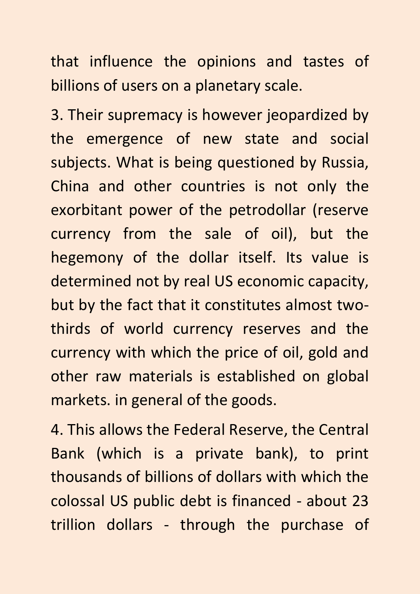that influence the opinions and tastes of billions of users on a planetary scale.

3. Their supremacy is however jeopardized by the emergence of new state and social subjects. What is being questioned by Russia, China and other countries is not only the exorbitant power of the petrodollar (reserve currency from the sale of oil), but the hegemony of the dollar itself. Its value is determined not by real US economic capacity, but by the fact that it constitutes almost twothirds of world currency reserves and the currency with which the price of oil, gold and other raw materials is established on global markets. in general of the goods.

4. This allows the Federal Reserve, the Central Bank (which is a private bank), to print thousands of billions of dollars with which the colossal US public debt is financed - about 23 trillion dollars - through the purchase of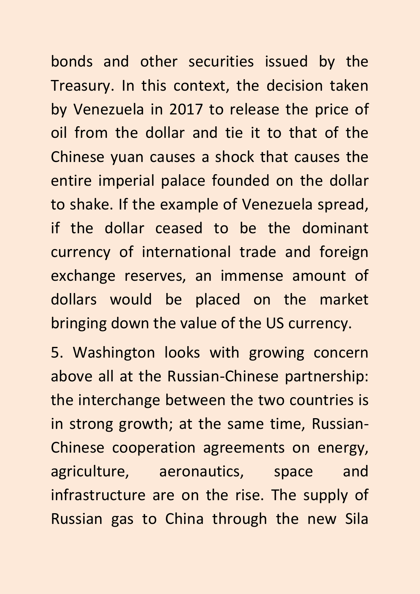bonds and other securities issued by the Treasury. In this context, the decision taken by Venezuela in 2017 to release the price of oil from the dollar and tie it to that of the Chinese yuan causes a shock that causes the entire imperial palace founded on the dollar to shake. If the example of Venezuela spread, if the dollar ceased to be the dominant currency of international trade and foreign exchange reserves, an immense amount of dollars would be placed on the market bringing down the value of the US currency.

5. Washington looks with growing concern above all at the Russian-Chinese partnership: the interchange between the two countries is in strong growth; at the same time, Russian-Chinese cooperation agreements on energy, agriculture, aeronautics, space and infrastructure are on the rise. The supply of Russian gas to China through the new Sila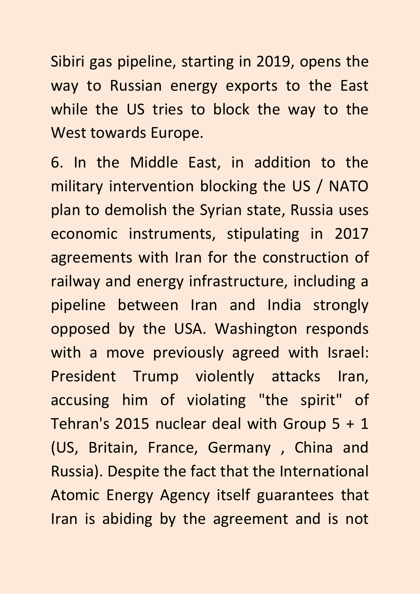Sibiri gas pipeline, starting in 2019, opens the way to Russian energy exports to the East while the US tries to block the way to the West towards Europe.

6. In the Middle East, in addition to the military intervention blocking the US / NATO plan to demolish the Syrian state, Russia uses economic instruments, stipulating in 2017 agreements with Iran for the construction of railway and energy infrastructure, including a pipeline between Iran and India strongly opposed by the USA. Washington responds with a move previously agreed with Israel: President Trump violently attacks Iran, accusing him of violating "the spirit" of Tehran's 2015 nuclear deal with Group 5 + 1 (US, Britain, France, Germany , China and Russia). Despite the fact that the International Atomic Energy Agency itself guarantees that Iran is abiding by the agreement and is not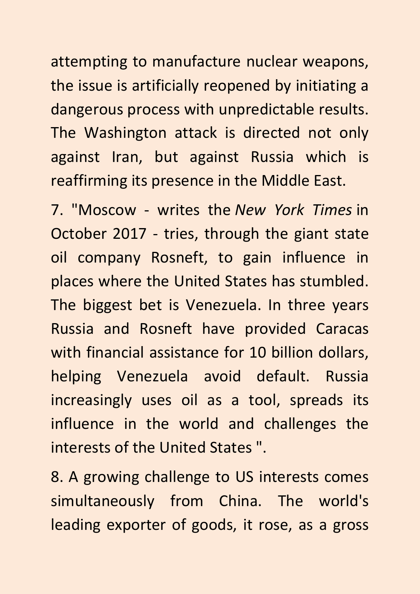attempting to manufacture nuclear weapons, the issue is artificially reopened by initiating a dangerous process with unpredictable results. The Washington attack is directed not only against Iran, but against Russia which is reaffirming its presence in the Middle East.

7. "Moscow - writes the *New York Times* in October 2017 - tries, through the giant state oil company Rosneft, to gain influence in places where the United States has stumbled. The biggest bet is Venezuela. In three years Russia and Rosneft have provided Caracas with financial assistance for 10 billion dollars, helping Venezuela avoid default. Russia increasingly uses oil as a tool, spreads its influence in the world and challenges the interests of the United States ".

8. A growing challenge to US interests comes simultaneously from China. The world's leading exporter of goods, it rose, as a gross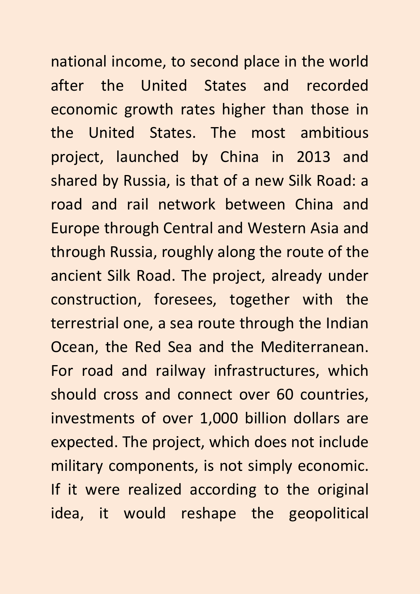national income, to second place in the world after the United States and recorded economic growth rates higher than those in the United States. The most ambitious project, launched by China in 2013 and shared by Russia, is that of a new Silk Road: a road and rail network between China and Europe through Central and Western Asia and through Russia, roughly along the route of the ancient Silk Road. The project, already under construction, foresees, together with the terrestrial one, a sea route through the Indian Ocean, the Red Sea and the Mediterranean. For road and railway infrastructures, which should cross and connect over 60 countries, investments of over 1,000 billion dollars are expected. The project, which does not include military components, is not simply economic. If it were realized according to the original idea, it would reshape the geopolitical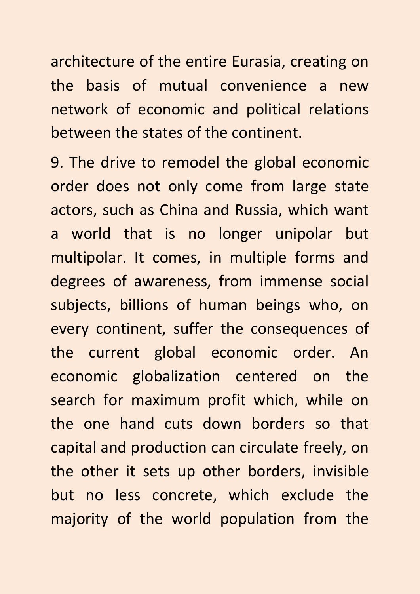architecture of the entire Eurasia, creating on the basis of mutual convenience a new network of economic and political relations between the states of the continent.

9. The drive to remodel the global economic order does not only come from large state actors, such as China and Russia, which want a world that is no longer unipolar but multipolar. It comes, in multiple forms and degrees of awareness, from immense social subjects, billions of human beings who, on every continent, suffer the consequences of the current global economic order. An economic globalization centered on the search for maximum profit which, while on the one hand cuts down borders so that capital and production can circulate freely, on the other it sets up other borders, invisible but no less concrete, which exclude the majority of the world population from the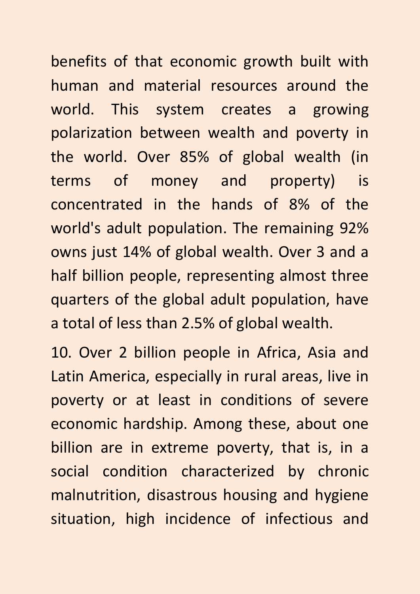benefits of that economic growth built with human and material resources around the world. This system creates a growing polarization between wealth and poverty in the world. Over 85% of global wealth (in terms of money and property) is concentrated in the hands of 8% of the world's adult population. The remaining 92% owns just 14% of global wealth. Over 3 and a half billion people, representing almost three quarters of the global adult population, have a total of less than 2.5% of global wealth.

10. Over 2 billion people in Africa, Asia and Latin America, especially in rural areas, live in poverty or at least in conditions of severe economic hardship. Among these, about one billion are in extreme poverty, that is, in a social condition characterized by chronic malnutrition, disastrous housing and hygiene situation, high incidence of infectious and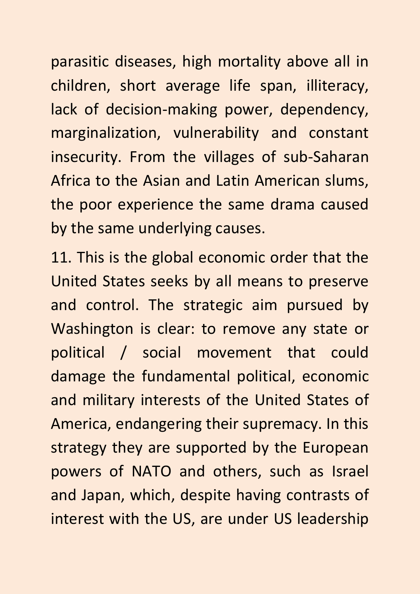parasitic diseases, high mortality above all in children, short average life span, illiteracy, lack of decision-making power, dependency, marginalization, vulnerability and constant insecurity. From the villages of sub-Saharan Africa to the Asian and Latin American slums, the poor experience the same drama caused by the same underlying causes.

11. This is the global economic order that the United States seeks by all means to preserve and control. The strategic aim pursued by Washington is clear: to remove any state or political / social movement that could damage the fundamental political, economic and military interests of the United States of America, endangering their supremacy. In this strategy they are supported by the European powers of NATO and others, such as Israel and Japan, which, despite having contrasts of interest with the US, are under US leadership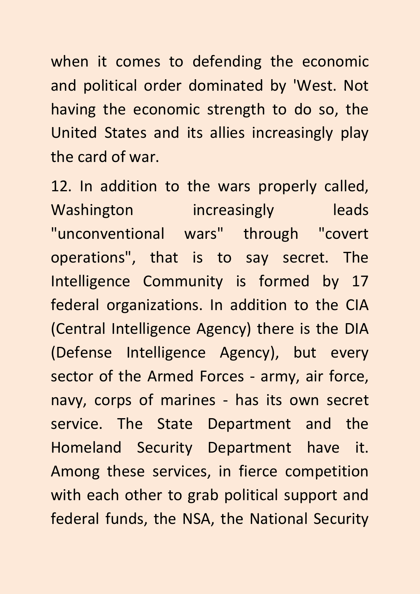when it comes to defending the economic and political order dominated by 'West. Not having the economic strength to do so, the United States and its allies increasingly play the card of war.

12. In addition to the wars properly called, Washington increasingly leads "unconventional wars" through "covert operations", that is to say secret. The Intelligence Community is formed by 17 federal organizations. In addition to the CIA (Central Intelligence Agency) there is the DIA (Defense Intelligence Agency), but every sector of the Armed Forces - army, air force, navy, corps of marines - has its own secret service. The State Department and the Homeland Security Department have it. Among these services, in fierce competition with each other to grab political support and federal funds, the NSA, the National Security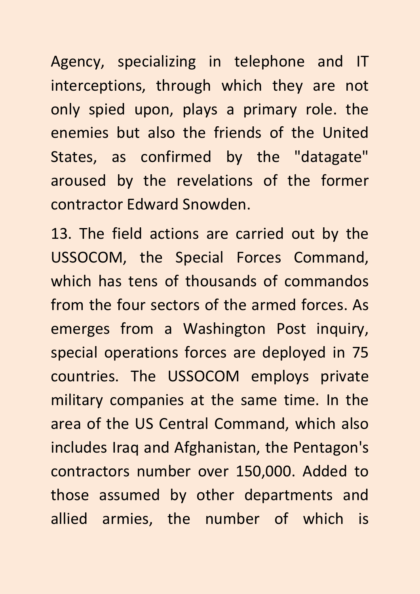Agency, specializing in telephone and IT interceptions, through which they are not only spied upon, plays a primary role. the enemies but also the friends of the United States, as confirmed by the "datagate" aroused by the revelations of the former contractor Edward Snowden.

13. The field actions are carried out by the USSOCOM, the Special Forces Command, which has tens of thousands of commandos from the four sectors of the armed forces. As emerges from a Washington Post inquiry, special operations forces are deployed in 75 countries. The USSOCOM employs private military companies at the same time. In the area of the US Central Command, which also includes Iraq and Afghanistan, the Pentagon's contractors number over 150,000. Added to those assumed by other departments and allied armies, the number of which is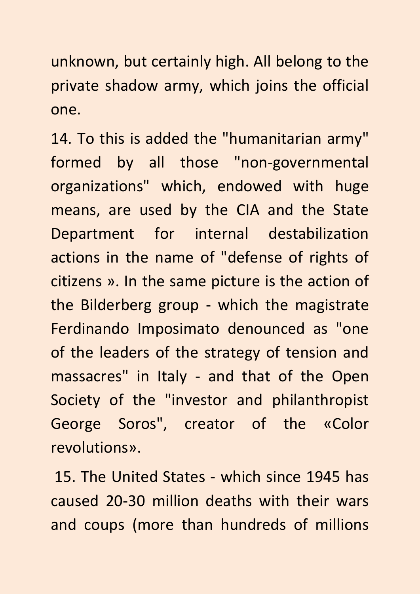unknown, but certainly high. All belong to the private shadow army, which joins the official one.

14. To this is added the "humanitarian army" formed by all those "non-governmental organizations" which, endowed with huge means, are used by the CIA and the State Department for internal destabilization actions in the name of "defense of rights of citizens ». In the same picture is the action of the Bilderberg group - which the magistrate Ferdinando Imposimato denounced as "one of the leaders of the strategy of tension and massacres" in Italy - and that of the Open Society of the "investor and philanthropist George Soros", creator of the «Color revolutions».

15. The United States - which since 1945 has caused 20-30 million deaths with their wars and coups (more than hundreds of millions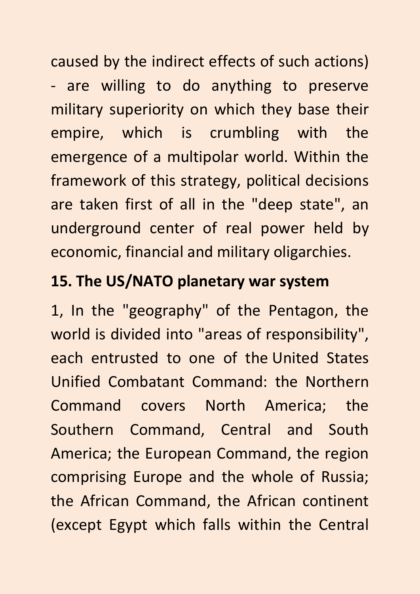caused by the indirect effects of such actions) - are willing to do anything to preserve military superiority on which they base their empire, which is crumbling with the emergence of a multipolar world. Within the framework of this strategy, political decisions are taken first of all in the "deep state", an underground center of real power held by economic, financial and military oligarchies.

## **15. The US/NATO planetary war system**

1, In the "geography" of the Pentagon, the world is divided into "areas of responsibility", each entrusted to one of the United States Unified Combatant Command: the Northern Command covers North America; the Southern Command, Central and South America; the European Command, the region comprising Europe and the whole of Russia; the African Command, the African continent (except Egypt which falls within the Central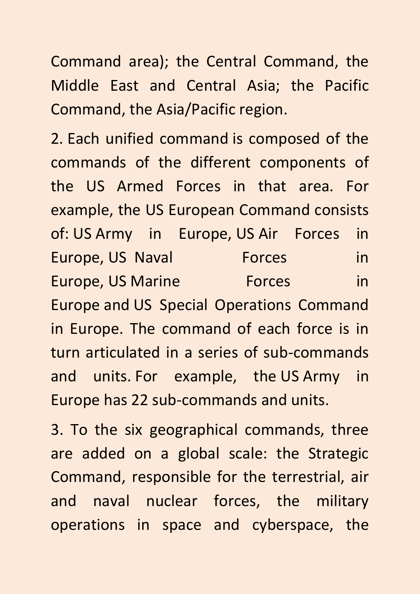Command area); the Central Command, the Middle East and Central Asia; the Pacific Command, the Asia/Pacific region.

2. Each unified command is composed of the commands of the different components of the US Armed Forces in that area. For example, the US European Command consists of: US Army in Europe, US Air Forces in Europe, US Naval Forces in Europe, US Marine **Forces** in Europe and US Special Operations Command in Europe. The command of each force is in turn articulated in a series of sub-commands and units. For example, the US Army in Europe has 22 sub-commands and units.

3. To the six geographical commands, three are added on a global scale: the Strategic Command, responsible for the terrestrial, air and naval nuclear forces, the military operations in space and cyberspace, the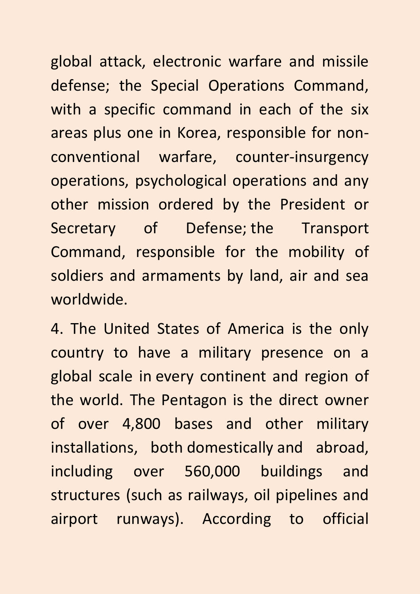global attack, electronic warfare and missile defense; the Special Operations Command, with a specific command in each of the six areas plus one in Korea, responsible for nonconventional warfare, counter-insurgency operations, psychological operations and any other mission ordered by the President or Secretary of Defense; the Transport Command, responsible for the mobility of soldiers and armaments by land, air and sea worldwide.

4. The United States of America is the only country to have a military presence on a global scale in every continent and region of the world. The Pentagon is the direct owner of over 4,800 bases and other military installations, both domestically and abroad, including over 560,000 buildings and structures (such as railways, oil pipelines and airport runways). According to official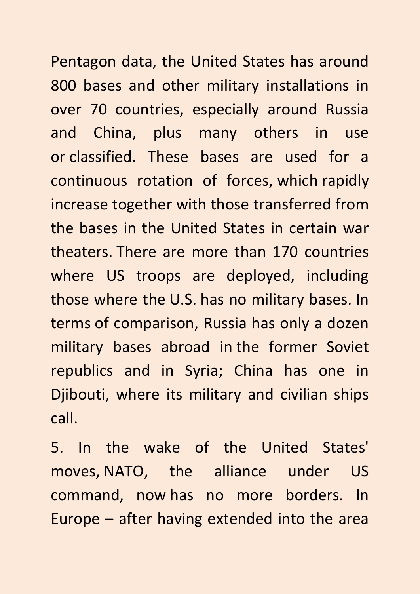Pentagon data, the United States has around 800 bases and other military installations in over 70 countries, especially around Russia and China, plus many others in use or classified. These bases are used for a continuous rotation of forces, which rapidly increase together with those transferred from the bases in the United States in certain war theaters. There are more than 170 countries where US troops are deployed, including those where the U.S. has no military bases. In terms of comparison, Russia has only a dozen military bases abroad in the former Soviet republics and in Syria; China has one in Djibouti, where its military and civilian ships call.

5. In the wake of the United States' moves, NATO, the alliance under US command, now has no more borders. In Europe – after having extended into the area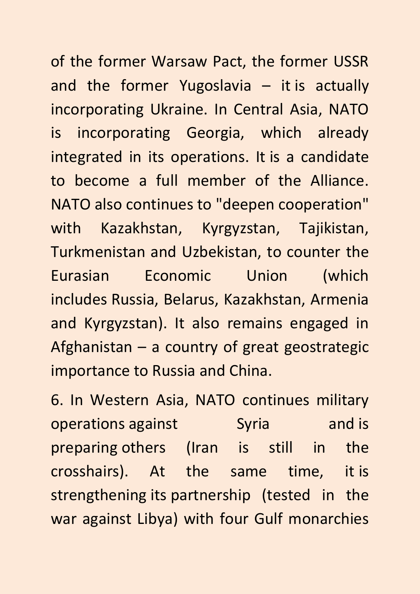of the former Warsaw Pact, the former USSR and the former Yugoslavia – it is actually incorporating Ukraine. In Central Asia, NATO is incorporating Georgia, which already integrated in its operations. It is a candidate to become a full member of the Alliance. NATO also continues to "deepen cooperation" with Kazakhstan, Kyrgyzstan, Tajikistan, Turkmenistan and Uzbekistan, to counter the Eurasian Economic Union (which includes Russia, Belarus, Kazakhstan, Armenia and Kyrgyzstan). It also remains engaged in Afghanistan – a country of great geostrategic importance to Russia and China.

6. In Western Asia, NATO continues military operations against The Syria and is preparing others (Iran is still in the crosshairs). At the same time, it is strengthening its partnership (tested in the war against Libya) with four Gulf monarchies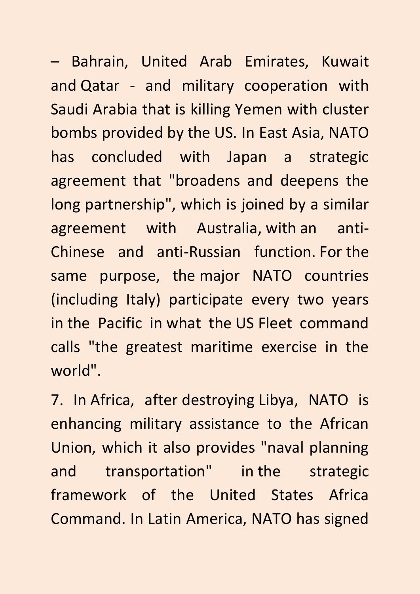– Bahrain, United Arab Emirates, Kuwait and Qatar - and military cooperation with Saudi Arabia that is killing Yemen with cluster bombs provided by the US. In East Asia, NATO has concluded with Japan a strategic agreement that "broadens and deepens the long partnership", which is joined by a similar agreement with Australia, with an anti-Chinese and anti-Russian function. For the same purpose, the major NATO countries (including Italy) participate every two years in the Pacific in what the US Fleet command calls "the greatest maritime exercise in the world".

7. In Africa, after destroying Libya, NATO is enhancing military assistance to the African Union, which it also provides "naval planning and transportation" in the strategic framework of the United States Africa Command. In Latin America, NATO has signed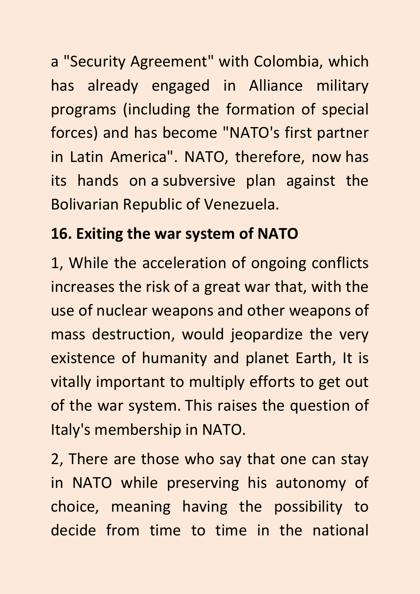a "Security Agreement" with Colombia, which has already engaged in Alliance military programs (including the formation of special forces) and has become "NATO's first partner in Latin America". NATO, therefore, now has its hands on a subversive plan against the Bolivarian Republic of Venezuela.

## **16. Exiting the war system of NATO**

1, While the acceleration of ongoing conflicts increases the risk of a great war that, with the use of nuclear weapons and other weapons of mass destruction, would jeopardize the very existence of humanity and planet Earth, It is vitally important to multiply efforts to get out of the war system. This raises the question of Italy's membership in NATO.

2, There are those who say that one can stay in NATO while preserving his autonomy of choice, meaning having the possibility to decide from time to time in the national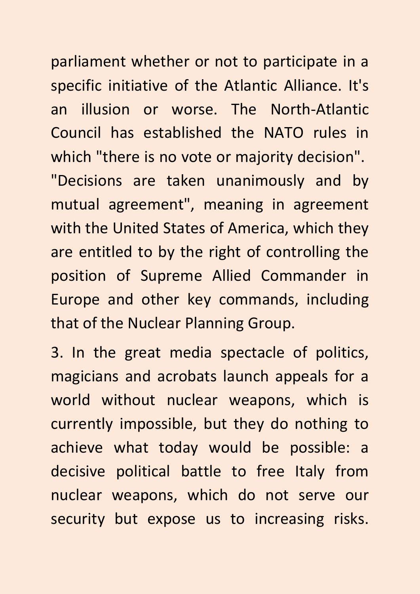parliament whether or not to participate in a specific initiative of the Atlantic Alliance. It's an illusion or worse. The North-Atlantic Council has established the NATO rules in which "there is no vote or majority decision". "Decisions are taken unanimously and by mutual agreement", meaning in agreement with the United States of America, which they are entitled to by the right of controlling the position of Supreme Allied Commander in Europe and other key commands, including that of the Nuclear Planning Group.

3. In the great media spectacle of politics, magicians and acrobats launch appeals for a world without nuclear weapons, which is currently impossible, but they do nothing to achieve what today would be possible: a decisive political battle to free Italy from nuclear weapons, which do not serve our security but expose us to increasing risks.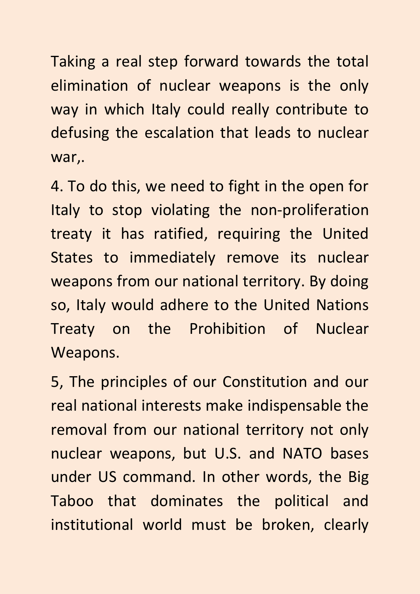Taking a real step forward towards the total elimination of nuclear weapons is the only way in which Italy could really contribute to defusing the escalation that leads to nuclear war,.

4. To do this, we need to fight in the open for Italy to stop violating the non-proliferation treaty it has ratified, requiring the United States to immediately remove its nuclear weapons from our national territory. By doing so, Italy would adhere to the United Nations Treaty on the Prohibition of Nuclear Weapons.

5, The principles of our Constitution and our real national interests make indispensable the removal from our national territory not only nuclear weapons, but U.S. and NATO bases under US command. In other words, the Big Taboo that dominates the political and institutional world must be broken, clearly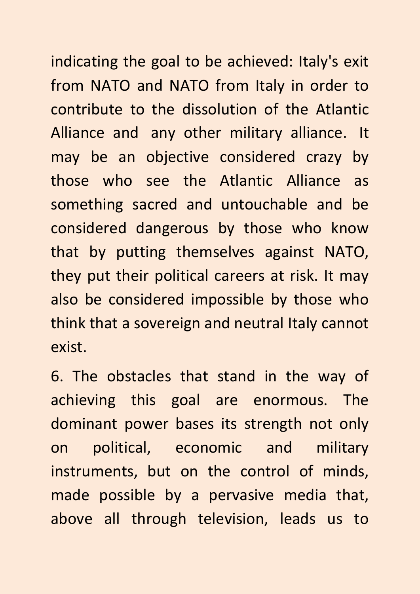indicating the goal to be achieved: Italy's exit from NATO and NATO from Italy in order to contribute to the dissolution of the Atlantic Alliance and any other military alliance. It may be an objective considered crazy by those who see the Atlantic Alliance as something sacred and untouchable and be considered dangerous by those who know that by putting themselves against NATO, they put their political careers at risk. It may also be considered impossible by those who think that a sovereign and neutral Italy cannot exist.

6. The obstacles that stand in the way of achieving this goal are enormous. The dominant power bases its strength not only on political, economic and military instruments, but on the control of minds, made possible by a pervasive media that, above all through television, leads us to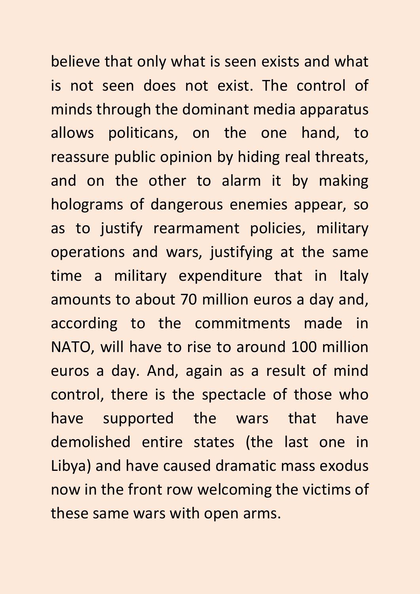believe that only what is seen exists and what is not seen does not exist. The control of minds through the dominant media apparatus allows politicans, on the one hand, to reassure public opinion by hiding real threats, and on the other to alarm it by making holograms of dangerous enemies appear, so as to justify rearmament policies, military operations and wars, justifying at the same time a military expenditure that in Italy amounts to about 70 million euros a day and, according to the commitments made in NATO, will have to rise to around 100 million euros a day. And, again as a result of mind control, there is the spectacle of those who have supported the wars that have demolished entire states (the last one in Libya) and have caused dramatic mass exodus now in the front row welcoming the victims of these same wars with open arms.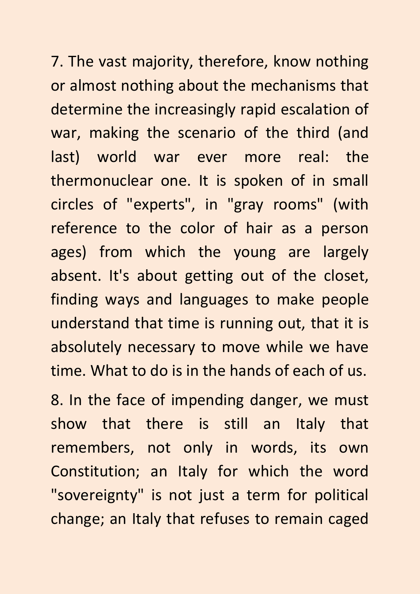7. The vast majority, therefore, know nothing or almost nothing about the mechanisms that determine the increasingly rapid escalation of war, making the scenario of the third (and last) world war ever more real: the thermonuclear one. It is spoken of in small circles of "experts", in "gray rooms" (with reference to the color of hair as a person ages) from which the young are largely absent. It's about getting out of the closet, finding ways and languages to make people understand that time is running out, that it is absolutely necessary to move while we have time. What to do is in the hands of each of us.

8. In the face of impending danger, we must show that there is still an Italy that remembers, not only in words, its own Constitution; an Italy for which the word "sovereignty" is not just a term for political change; an Italy that refuses to remain caged